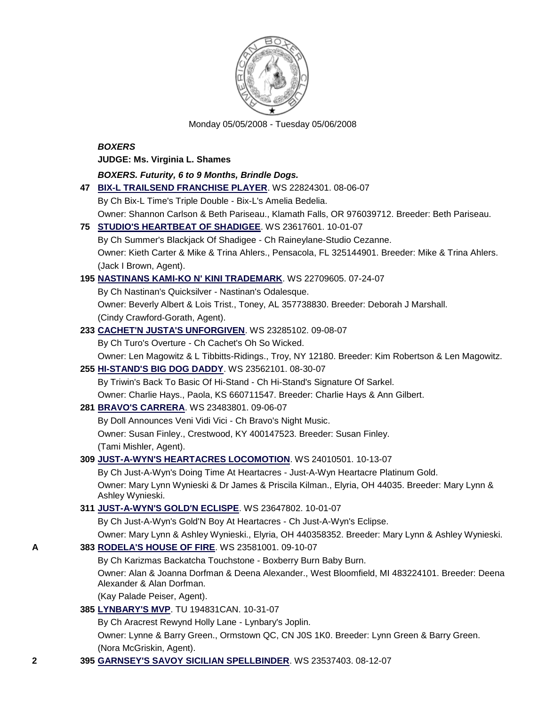

Monday 05/05/2008 - Tuesday 05/06/2008

### *BOXERS*

**JUDGE: Ms. Virginia L. Shames**

*BOXERS. Futurity, 6 to 9 Months, Brindle Dogs.* **47 [BIX-L TRAILSEND FRANCHISE PLAYER](http://canis.infodog.com/files/bdogrsl1.prg;makc=WS_22824301;mdog=Bix-L_Trailsend_Franchise_Player;wins=all)**. WS 22824301. 08-06-07

By Ch Bix-L Time's Triple Double - Bix-L's Amelia Bedelia. Owner: Shannon Carlson & Beth Pariseau., Klamath Falls, OR 976039712. Breeder: Beth Pariseau. **75 [STUDIO'S HEARTBEAT OF SHADIGEE](http://canis.infodog.com/files/bdogrsl1.prg;makc=WS_23617601;mdog=Studio_s_Heartbeat_Of_Shadigee;wins=all)**. WS 23617601. 10-01-07 By Ch Summer's Blackjack Of Shadigee - Ch Raineylane-Studio Cezanne. Owner: Kieth Carter & Mike & Trina Ahlers., Pensacola, FL 325144901. Breeder: Mike & Trina Ahlers. (Jack I Brown, Agent). **195 [NASTINANS KAMI-KO N' KINI TRADEMARK](http://canis.infodog.com/files/bdogrsl1.prg;makc=WS_22709605;mdog=Nastinans_Kami-Ko_N__Kini_Trademark;wins=all)**. WS 22709605. 07-24-07 By Ch Nastinan's Quicksilver - Nastinan's Odalesque. Owner: Beverly Albert & Lois Trist., Toney, AL 357738830. Breeder: Deborah J Marshall. (Cindy Crawford-Gorath, Agent). **233 [CACHET'N JUSTA'S UNFORGIVEN](http://canis.infodog.com/files/bdogrsl1.prg;makc=WS_23285102;mdog=Cachet_N_Justa_s_Unforgiven;wins=all)**. WS 23285102. 09-08-07 By Ch Turo's Overture - Ch Cachet's Oh So Wicked. Owner: Len Magowitz & L Tibbitts-Ridings., Troy, NY 12180. Breeder: Kim Robertson & Len Magowitz. **255 [HI-STAND'S BIG DOG DADDY](http://canis.infodog.com/files/bdogrsl1.prg;makc=WS_23562101;mdog=Hi-Stand_s_Big_Dog_Daddy;wins=all)**. WS 23562101. 08-30-07 By Triwin's Back To Basic Of Hi-Stand - Ch Hi-Stand's Signature Of Sarkel. Owner: Charlie Hays., Paola, KS 660711547. Breeder: Charlie Hays & Ann Gilbert. **281 [BRAVO'S CARRERA](http://canis.infodog.com/files/bdogrsl1.prg;makc=WS_23483801;mdog=Bravo_s_Carrera;wins=all)**. WS 23483801. 09-06-07 By Doll Announces Veni Vidi Vici - Ch Bravo's Night Music. Owner: Susan Finley., Crestwood, KY 400147523. Breeder: Susan Finley. (Tami Mishler, Agent). **309 [JUST-A-WYN'S HEARTACRES LOCOMOTION](http://canis.infodog.com/files/bdogrsl1.prg;makc=WS_24010501;mdog=Just-A-Wyn_s_Heartacres_Locomotion;wins=all)**. WS 24010501. 10-13-07 By Ch Just-A-Wyn's Doing Time At Heartacres - Just-A-Wyn Heartacre Platinum Gold. Owner: Mary Lynn Wynieski & Dr James & Priscila Kilman., Elyria, OH 44035. Breeder: Mary Lynn & Ashley Wynieski.

## **311 [JUST-A-WYN'S GOLD'N ECLISPE](http://canis.infodog.com/files/bdogrsl1.prg;makc=WS_23647802;mdog=Just-A-Wyn_s_Gold_N_Eclispe;wins=all)**. WS 23647802. 10-01-07

By Ch Just-A-Wyn's Gold'N Boy At Heartacres - Ch Just-A-Wyn's Eclipse.

Owner: Mary Lynn & Ashley Wynieski., Elyria, OH 440358352. Breeder: Mary Lynn & Ashley Wynieski.

## **A 383 [RODELA'S HOUSE OF FIRE](http://canis.infodog.com/files/bdogrsl1.prg;makc=WS_23581001;mdog=Rodela_s_House_Of_Fire;wins=all)**. WS 23581001. 09-10-07

By Ch Karizmas Backatcha Touchstone - Boxberry Burn Baby Burn.

Owner: Alan & Joanna Dorfman & Deena Alexander., West Bloomfield, MI 483224101. Breeder: Deena Alexander & Alan Dorfman.

(Kay Palade Peiser, Agent).

**385 [LYNBARY'S MVP](http://canis.infodog.com/files/bdogrsl1.prg;makc=TU_194831CAN;mdog=Lynbary_s_MVP;wins=all)**. TU 194831CAN. 10-31-07

By Ch Aracrest Rewynd Holly Lane - Lynbary's Joplin.

Owner: Lynne & Barry Green., Ormstown QC, CN J0S 1K0. Breeder: Lynn Green & Barry Green. (Nora McGriskin, Agent).

**2 395 [GARNSEY'S SAVOY SICILIAN SPELLBINDER](http://canis.infodog.com/files/bdogrsl1.prg;makc=WS_23537403;mdog=Garnsey_s_Savoy_Sicilian_Spellbinder;wins=all)**. WS 23537403. 08-12-07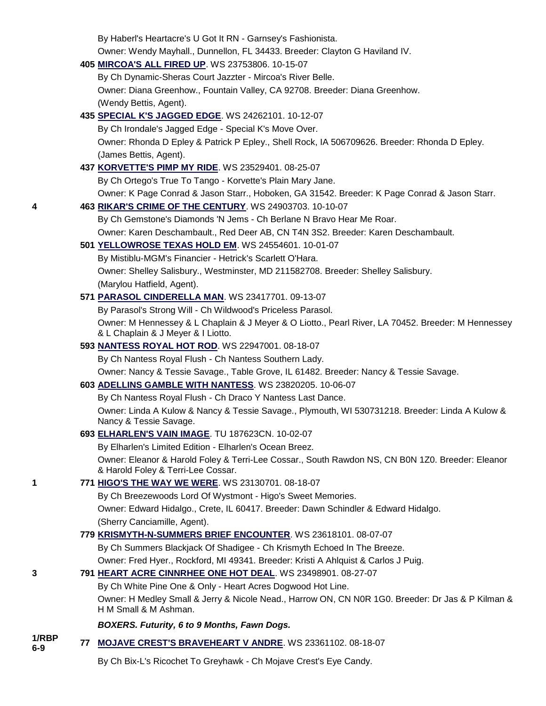|                | By Haberl's Heartacre's U Got It RN - Garnsey's Fashionista.                                                               |
|----------------|----------------------------------------------------------------------------------------------------------------------------|
|                | Owner: Wendy Mayhall., Dunnellon, FL 34433. Breeder: Clayton G Haviland IV.                                                |
|                | 405 MIRCOA'S ALL FIRED UP. WS 23753806. 10-15-07                                                                           |
|                | By Ch Dynamic-Sheras Court Jazzter - Mircoa's River Belle.                                                                 |
|                | Owner: Diana Greenhow., Fountain Valley, CA 92708. Breeder: Diana Greenhow.                                                |
|                | (Wendy Bettis, Agent).                                                                                                     |
|                | 435 SPECIAL K'S JAGGED EDGE. WS 24262101. 10-12-07                                                                         |
|                | By Ch Irondale's Jagged Edge - Special K's Move Over.                                                                      |
|                | Owner: Rhonda D Epley & Patrick P Epley., Shell Rock, IA 506709626. Breeder: Rhonda D Epley.                               |
|                | (James Bettis, Agent).                                                                                                     |
|                | 437 KORVETTE'S PIMP MY RIDE. WS 23529401. 08-25-07                                                                         |
|                | By Ch Ortego's True To Tango - Korvette's Plain Mary Jane.                                                                 |
|                | Owner: K Page Conrad & Jason Starr., Hoboken, GA 31542. Breeder: K Page Conrad & Jason Starr.                              |
| 4              | 463 RIKAR'S CRIME OF THE CENTURY. WS 24903703. 10-10-07                                                                    |
|                | By Ch Gemstone's Diamonds 'N Jems - Ch Berlane N Bravo Hear Me Roar.                                                       |
|                | Owner: Karen Deschambault., Red Deer AB, CN T4N 3S2. Breeder: Karen Deschambault.                                          |
|                | 501 YELLOWROSE TEXAS HOLD EM. WS 24554601. 10-01-07                                                                        |
|                | By Mistiblu-MGM's Financier - Hetrick's Scarlett O'Hara.                                                                   |
|                | Owner: Shelley Salisbury., Westminster, MD 211582708. Breeder: Shelley Salisbury.                                          |
|                | (Marylou Hatfield, Agent).                                                                                                 |
|                | 571 PARASOL CINDERELLA MAN. WS 23417701. 09-13-07                                                                          |
|                | By Parasol's Strong Will - Ch Wildwood's Priceless Parasol.                                                                |
|                | Owner: M Hennessey & L Chaplain & J Meyer & O Liotto., Pearl River, LA 70452. Breeder: M Hennessey                         |
|                | & L Chaplain & J Meyer & I Liotto.                                                                                         |
|                | 593 NANTESS ROYAL HOT ROD. WS 22947001. 08-18-07                                                                           |
|                | By Ch Nantess Royal Flush - Ch Nantess Southern Lady.                                                                      |
|                | Owner: Nancy & Tessie Savage., Table Grove, IL 61482. Breeder: Nancy & Tessie Savage.                                      |
|                | 603 ADELLINS GAMBLE WITH NANTESS. WS 23820205. 10-06-07                                                                    |
|                | By Ch Nantess Royal Flush - Ch Draco Y Nantess Last Dance.                                                                 |
|                | Owner: Linda A Kulow & Nancy & Tessie Savage., Plymouth, WI 530731218. Breeder: Linda A Kulow &<br>Nancy & Tessie Savage.  |
|                | 693 ELHARLEN'S VAIN IMAGE. TU 187623CN. 10-02-07                                                                           |
|                | By Elharlen's Limited Edition - Elharlen's Ocean Breez.                                                                    |
|                | Owner: Eleanor & Harold Foley & Terri-Lee Cossar., South Rawdon NS, CN B0N 1Z0. Breeder: Eleanor                           |
|                | & Harold Foley & Terri-Lee Cossar.                                                                                         |
| 1              | 771 HIGO'S THE WAY WE WERE. WS 23130701. 08-18-07                                                                          |
|                | By Ch Breezewoods Lord Of Wystmont - Higo's Sweet Memories.                                                                |
|                | Owner: Edward Hidalgo., Crete, IL 60417. Breeder: Dawn Schindler & Edward Hidalgo.                                         |
|                | (Sherry Canciamille, Agent).                                                                                               |
|                | 779 KRISMYTH-N-SUMMERS BRIEF ENCOUNTER. WS 23618101. 08-07-07                                                              |
|                | By Ch Summers Blackjack Of Shadigee - Ch Krismyth Echoed In The Breeze.                                                    |
|                | Owner: Fred Hyer., Rockford, MI 49341. Breeder: Kristi A Ahlquist & Carlos J Puig.                                         |
| 3              | 791 HEART ACRE CINNRHEE ONE HOT DEAL. WS 23498901. 08-27-07                                                                |
|                | By Ch White Pine One & Only - Heart Acres Dogwood Hot Line.                                                                |
|                | Owner: H Medley Small & Jerry & Nicole Nead., Harrow ON, CN N0R 1G0. Breeder: Dr Jas & P Kilman &<br>H M Small & M Ashman. |
|                | BOXERS. Futurity, 6 to 9 Months, Fawn Dogs.                                                                                |
| 1/RBP<br>$6-9$ | 77 MOJAVE CREST'S BRAVEHEART V ANDRE. WS 23361102. 08-18-07                                                                |
|                | By Ch Bix-L's Ricochet To Greyhawk - Ch Mojave Crest's Eye Candy.                                                          |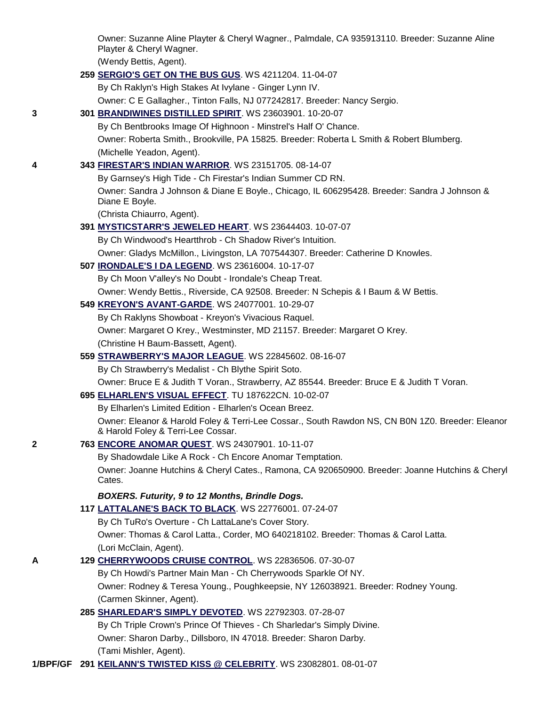|   | Owner: Suzanne Aline Playter & Cheryl Wagner., Palmdale, CA 935913110. Breeder: Suzanne Aline<br>Playter & Cheryl Wagner.              |
|---|----------------------------------------------------------------------------------------------------------------------------------------|
|   | (Wendy Bettis, Agent).                                                                                                                 |
|   | 259 SERGIO'S GET ON THE BUS GUS. WS 4211204. 11-04-07                                                                                  |
|   | By Ch Raklyn's High Stakes At Ivylane - Ginger Lynn IV.                                                                                |
|   | Owner: C E Gallagher., Tinton Falls, NJ 077242817. Breeder: Nancy Sergio.                                                              |
| 3 | 301 BRANDIWINES DISTILLED SPIRIT. WS 23603901. 10-20-07                                                                                |
|   | By Ch Bentbrooks Image Of Highnoon - Minstrel's Half O' Chance.                                                                        |
|   | Owner: Roberta Smith., Brookville, PA 15825. Breeder: Roberta L Smith & Robert Blumberg.                                               |
|   | (Michelle Yeadon, Agent).                                                                                                              |
| 4 | 343 FIRESTAR'S INDIAN WARRIOR. WS 23151705. 08-14-07                                                                                   |
|   | By Garnsey's High Tide - Ch Firestar's Indian Summer CD RN.                                                                            |
|   | Owner: Sandra J Johnson & Diane E Boyle., Chicago, IL 606295428. Breeder: Sandra J Johnson &<br>Diane E Boyle.                         |
|   | (Christa Chiaurro, Agent).                                                                                                             |
|   | 391 MYSTICSTARR'S JEWELED HEART. WS 23644403. 10-07-07                                                                                 |
|   | By Ch Windwood's Heartthrob - Ch Shadow River's Intuition.                                                                             |
|   | Owner: Gladys McMillon., Livingston, LA 707544307. Breeder: Catherine D Knowles.                                                       |
|   | 507 IRONDALE'S I DA LEGEND. WS 23616004. 10-17-07                                                                                      |
|   | By Ch Moon V'alley's No Doubt - Irondale's Cheap Treat.                                                                                |
|   | Owner: Wendy Bettis., Riverside, CA 92508. Breeder: N Schepis & I Baum & W Bettis.                                                     |
|   | 549 KREYON'S AVANT-GARDE. WS 24077001. 10-29-07                                                                                        |
|   | By Ch Raklyns Showboat - Kreyon's Vivacious Raquel.                                                                                    |
|   | Owner: Margaret O Krey., Westminster, MD 21157. Breeder: Margaret O Krey.                                                              |
|   | (Christine H Baum-Bassett, Agent).                                                                                                     |
|   | 559 STRAWBERRY'S MAJOR LEAGUE. WS 22845602. 08-16-07                                                                                   |
|   | By Ch Strawberry's Medalist - Ch Blythe Spirit Soto.                                                                                   |
|   | Owner: Bruce E & Judith T Voran., Strawberry, AZ 85544. Breeder: Bruce E & Judith T Voran.                                             |
|   | 695 ELHARLEN'S VISUAL EFFECT. TU 187622CN. 10-02-07                                                                                    |
|   | By Elharlen's Limited Edition - Elharlen's Ocean Breez.                                                                                |
|   | Owner: Eleanor & Harold Foley & Terri-Lee Cossar., South Rawdon NS, CN B0N 1Z0. Breeder: Eleanor<br>& Harold Foley & Terri-Lee Cossar. |
| 2 | 763 ENCORE ANOMAR QUEST. WS 24307901. 10-11-07                                                                                         |
|   | By Shadowdale Like A Rock - Ch Encore Anomar Temptation.                                                                               |
|   | Owner: Joanne Hutchins & Cheryl Cates., Ramona, CA 920650900. Breeder: Joanne Hutchins & Cheryl<br>Cates.                              |
|   | BOXERS. Futurity, 9 to 12 Months, Brindle Dogs.                                                                                        |
|   | 117 LATTALANE'S BACK TO BLACK. WS 22776001. 07-24-07                                                                                   |
|   | By Ch TuRo's Overture - Ch LattaLane's Cover Story.                                                                                    |
|   | Owner: Thomas & Carol Latta., Corder, MO 640218102. Breeder: Thomas & Carol Latta.                                                     |
|   | (Lori McClain, Agent).                                                                                                                 |
| А | 129 CHERRYWOODS CRUISE CONTROL. WS 22836506. 07-30-07                                                                                  |
|   | By Ch Howdi's Partner Main Man - Ch Cherrywoods Sparkle Of NY.                                                                         |
|   | Owner: Rodney & Teresa Young., Poughkeepsie, NY 126038921. Breeder: Rodney Young.                                                      |
|   | (Carmen Skinner, Agent).                                                                                                               |
|   | 285 SHARLEDAR'S SIMPLY DEVOTED. WS 22792303. 07-28-07                                                                                  |
|   | By Ch Triple Crown's Prince Of Thieves - Ch Sharledar's Simply Divine.                                                                 |
|   | Owner: Sharon Darby., Dillsboro, IN 47018. Breeder: Sharon Darby.                                                                      |
|   | (Tami Mishler, Agent).                                                                                                                 |
|   | 1 <b>/BPF/GF 291 <u>KEILANN'S TWISTED KISS @ CELEBRITY</u>. WS 23082801. 08-01-07</b>                                                  |
|   |                                                                                                                                        |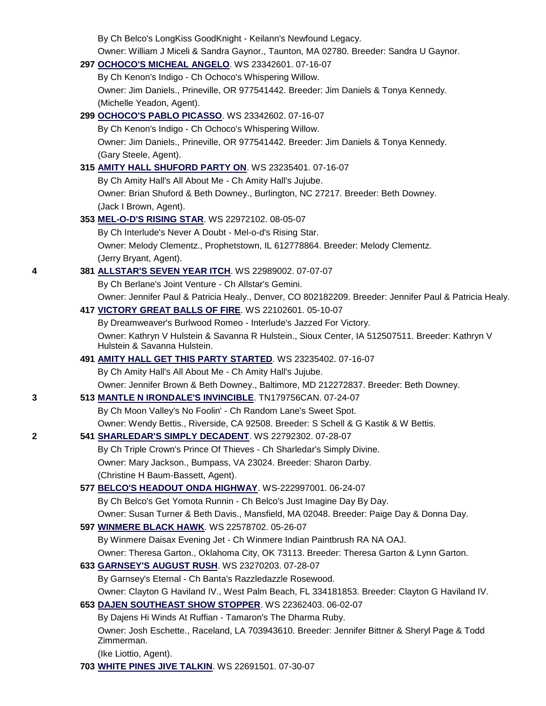|   | By Ch Belco's LongKiss GoodKnight - Keilann's Newfound Legacy.                                         |
|---|--------------------------------------------------------------------------------------------------------|
|   | Owner: William J Miceli & Sandra Gaynor., Taunton, MA 02780. Breeder: Sandra U Gaynor.                 |
|   | 297 OCHOCO'S MICHEAL ANGELO. WS 23342601.07-16-07                                                      |
|   | By Ch Kenon's Indigo - Ch Ochoco's Whispering Willow.                                                  |
|   | Owner: Jim Daniels., Prineville, OR 977541442. Breeder: Jim Daniels & Tonya Kennedy.                   |
|   | (Michelle Yeadon, Agent).                                                                              |
|   | 299 OCHOCO'S PABLO PICASSO. WS 23342602. 07-16-07                                                      |
|   | By Ch Kenon's Indigo - Ch Ochoco's Whispering Willow.                                                  |
|   | Owner: Jim Daniels., Prineville, OR 977541442. Breeder: Jim Daniels & Tonya Kennedy.                   |
|   | (Gary Steele, Agent).                                                                                  |
|   | 315 AMITY HALL SHUFORD PARTY ON. WS 23235401. 07-16-07                                                 |
|   | By Ch Amity Hall's All About Me - Ch Amity Hall's Jujube.                                              |
|   | Owner: Brian Shuford & Beth Downey., Burlington, NC 27217. Breeder: Beth Downey.                       |
|   | (Jack I Brown, Agent).                                                                                 |
|   | 353 MEL-O-D'S RISING STAR. WS 22972102. 08-05-07                                                       |
|   | By Ch Interlude's Never A Doubt - Mel-o-d's Rising Star.                                               |
|   | Owner: Melody Clementz., Prophetstown, IL 612778864. Breeder: Melody Clementz.                         |
|   | (Jerry Bryant, Agent).                                                                                 |
| 4 | 381 ALLSTAR'S SEVEN YEAR ITCH. WS 22989002. 07-07-07                                                   |
|   | By Ch Berlane's Joint Venture - Ch Allstar's Gemini.                                                   |
|   | Owner: Jennifer Paul & Patricia Healy., Denver, CO 802182209. Breeder: Jennifer Paul & Patricia Healy. |
|   | 417 VICTORY GREAT BALLS OF FIRE. WS 22102601. 05-10-07                                                 |
|   | By Dreamweaver's Burlwood Romeo - Interlude's Jazzed For Victory.                                      |
|   | Owner: Kathryn V Hulstein & Savanna R Hulstein., Sioux Center, IA 512507511. Breeder: Kathryn V        |
|   | Hulstein & Savanna Hulstein.                                                                           |
|   | 491 AMITY HALL GET THIS PARTY STARTED. WS 23235402. 07-16-07                                           |
|   | By Ch Amity Hall's All About Me - Ch Amity Hall's Jujube.                                              |
|   | Owner: Jennifer Brown & Beth Downey., Baltimore, MD 212272837. Breeder: Beth Downey.                   |
| 3 | 513 MANTLE N IRONDALE'S INVINCIBLE. TN179756CAN. 07-24-07                                              |
|   | By Ch Moon Valley's No Foolin' - Ch Random Lane's Sweet Spot.                                          |
|   | Owner: Wendy Bettis., Riverside, CA 92508. Breeder: S Schell & G Kastik & W Bettis.                    |
| 2 | 541 SHARLEDAR'S SIMPLY DECADENT. WS 22792302. 07-28-07                                                 |
|   | By Ch Triple Crown's Prince Of Thieves - Ch Sharledar's Simply Divine.                                 |
|   | Owner: Mary Jackson., Bumpass, VA 23024. Breeder: Sharon Darby.                                        |
|   | (Christine H Baum-Bassett, Agent).                                                                     |
|   | 577 BELCO'S HEADOUT ONDA HIGHWAY. WS-222997001. 06-24-07                                               |
|   | By Ch Belco's Get Yomota Runnin - Ch Belco's Just Imagine Day By Day.                                  |
|   | Owner: Susan Turner & Beth Davis., Mansfield, MA 02048. Breeder: Paige Day & Donna Day.                |
|   | 597 WINMERE BLACK HAWK. WS 22578702. 05-26-07                                                          |
|   | By Winmere Daisax Evening Jet - Ch Winmere Indian Paintbrush RA NA OAJ.                                |
|   | Owner: Theresa Garton., Oklahoma City, OK 73113. Breeder: Theresa Garton & Lynn Garton.                |
|   | 633 GARNSEY'S AUGUST RUSH. WS 23270203. 07-28-07                                                       |
|   | By Garnsey's Eternal - Ch Banta's Razzledazzle Rosewood.                                               |
|   | Owner: Clayton G Haviland IV., West Palm Beach, FL 334181853. Breeder: Clayton G Haviland IV.          |
|   | 653 DAJEN SOUTHEAST SHOW STOPPER. WS 22362403. 06-02-07                                                |
|   | By Dajens Hi Winds At Ruffian - Tamaron's The Dharma Ruby.                                             |
|   | Owner: Josh Eschette., Raceland, LA 703943610. Breeder: Jennifer Bittner & Sheryl Page & Todd          |
|   | Zimmerman.                                                                                             |
|   | (Ike Liottio, Agent).                                                                                  |
|   | 703 WHITE PINES JIVE TALKIN. WS 22691501. 07-30-07                                                     |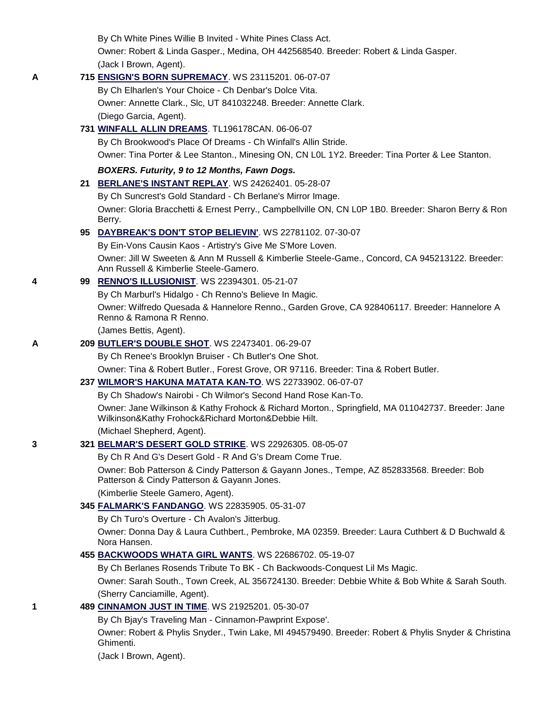|   | By Ch White Pines Willie B Invited - White Pines Class Act.                                                                                              |
|---|----------------------------------------------------------------------------------------------------------------------------------------------------------|
|   | Owner: Robert & Linda Gasper., Medina, OH 442568540. Breeder: Robert & Linda Gasper.                                                                     |
|   | (Jack I Brown, Agent).                                                                                                                                   |
| A | 715 ENSIGN'S BORN SUPREMACY. WS 23115201. 06-07-07                                                                                                       |
|   | By Ch Elharlen's Your Choice - Ch Denbar's Dolce Vita.                                                                                                   |
|   | Owner: Annette Clark., Slc, UT 841032248. Breeder: Annette Clark.                                                                                        |
|   | (Diego Garcia, Agent).                                                                                                                                   |
|   | 731 WINFALL ALLIN DREAMS. TL196178CAN. 06-06-07                                                                                                          |
|   | By Ch Brookwood's Place Of Dreams - Ch Winfall's Allin Stride.                                                                                           |
|   | Owner: Tina Porter & Lee Stanton., Minesing ON, CN L0L 1Y2. Breeder: Tina Porter & Lee Stanton.                                                          |
|   | BOXERS. Futurity, 9 to 12 Months, Fawn Dogs.                                                                                                             |
|   | 21 BERLANE'S INSTANT REPLAY. WS 24262401. 05-28-07                                                                                                       |
|   | By Ch Suncrest's Gold Standard - Ch Berlane's Mirror Image.                                                                                              |
|   | Owner: Gloria Bracchetti & Ernest Perry., Campbellville ON, CN L0P 1B0. Breeder: Sharon Berry & Ron<br>Berry.                                            |
|   | 95 DAYBREAK'S DON'T STOP BELIEVIN'. WS 22781102. 07-30-07                                                                                                |
|   | By Ein-Vons Causin Kaos - Artistry's Give Me S'More Loven.                                                                                               |
|   | Owner: Jill W Sweeten & Ann M Russell & Kimberlie Steele-Game., Concord, CA 945213122. Breeder:<br>Ann Russell & Kimberlie Steele-Gamero.                |
| 4 | 99 RENNO'S ILLUSIONIST. WS 22394301. 05-21-07                                                                                                            |
|   | By Ch Marburl's Hidalgo - Ch Renno's Believe In Magic.                                                                                                   |
|   | Owner: Wilfredo Quesada & Hannelore Renno., Garden Grove, CA 928406117. Breeder: Hannelore A<br>Renno & Ramona R Renno.                                  |
|   | (James Bettis, Agent).                                                                                                                                   |
| Α | 209 BUTLER'S DOUBLE SHOT. WS 22473401. 06-29-07                                                                                                          |
|   | By Ch Renee's Brooklyn Bruiser - Ch Butler's One Shot.                                                                                                   |
|   | Owner: Tina & Robert Butler., Forest Grove, OR 97116. Breeder: Tina & Robert Butler.                                                                     |
|   | 237 WILMOR'S HAKUNA MATATA KAN-TO. WS 22733902. 06-07-07                                                                                                 |
|   | By Ch Shadow's Nairobi - Ch Wilmor's Second Hand Rose Kan-To.                                                                                            |
|   | Owner: Jane Wilkinson & Kathy Frohock & Richard Morton., Springfield, MA 011042737. Breeder: Jane<br>Wilkinson&Kathy Frohock&Richard Morton&Debbie Hilt. |
|   | (Michael Shepherd, Agent).                                                                                                                               |
| 3 | 321 BELMAR'S DESERT GOLD STRIKE. WS 22926305. 08-05-07                                                                                                   |
|   | By Ch R And G's Desert Gold - R And G's Dream Come True.                                                                                                 |
|   | Owner: Bob Patterson & Cindy Patterson & Gayann Jones., Tempe, AZ 852833568. Breeder: Bob<br>Patterson & Cindy Patterson & Gayann Jones.                 |
|   | (Kimberlie Steele Gamero, Agent).                                                                                                                        |
|   | 345 FALMARK'S FANDANGO. WS 22835905. 05-31-07                                                                                                            |
|   | By Ch Turo's Overture - Ch Avalon's Jitterbug.                                                                                                           |
|   | Owner: Donna Day & Laura Cuthbert., Pembroke, MA 02359. Breeder: Laura Cuthbert & D Buchwald &<br>Nora Hansen.                                           |
|   | 455 BACKWOODS WHATA GIRL WANTS. WS 22686702. 05-19-07                                                                                                    |
|   | By Ch Berlanes Rosends Tribute To BK - Ch Backwoods-Conquest Lil Ms Magic.                                                                               |
|   | Owner: Sarah South., Town Creek, AL 356724130. Breeder: Debbie White & Bob White & Sarah South.                                                          |
|   | (Sherry Canciamille, Agent).                                                                                                                             |
| 1 | 489 CINNAMON JUST IN TIME. WS 21925201. 05-30-07                                                                                                         |
|   | By Ch Bjay's Traveling Man - Cinnamon-Pawprint Expose'.                                                                                                  |
|   | Owner: Robert & Phylis Snyder., Twin Lake, MI 494579490. Breeder: Robert & Phylis Snyder & Christina<br>Ghimenti.                                        |
|   | (Jack I Brown, Agent).                                                                                                                                   |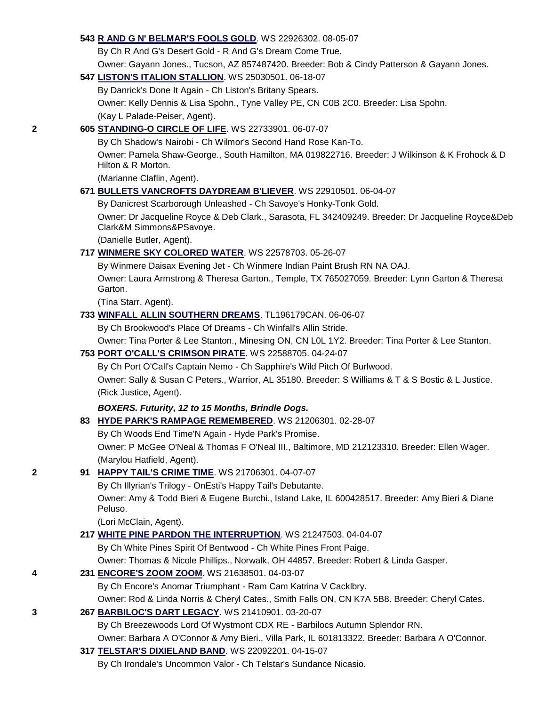#### **543 [R AND G N' BELMAR'S FOOLS GOLD](http://canis.infodog.com/files/bdogrsl1.prg;makc=WS_22926302;mdog=R_And_G_N__Belmar_s_Fools_Gold;wins=all)**. WS 22926302. 08-05-07

By Ch R And G's Desert Gold - R And G's Dream Come True. Owner: Gayann Jones., Tucson, AZ 857487420. Breeder: Bob & Cindy Patterson & Gayann Jones.

#### **547 [LISTON'S ITALION STALLION](http://canis.infodog.com/files/bdogrsl1.prg;makc=WS_25030501;mdog=Liston_s_Italion_Stallion;wins=all)**. WS 25030501. 06-18-07

By Danrick's Done It Again - Ch Liston's Britany Spears. Owner: Kelly Dennis & Lisa Spohn., Tyne Valley PE, CN C0B 2C0. Breeder: Lisa Spohn. (Kay L Palade-Peiser, Agent).

#### **2 605 [STANDING-O CIRCLE OF LIFE](http://canis.infodog.com/files/bdogrsl1.prg;makc=WS_22733901;mdog=Standing-O_Circle_Of_Life;wins=all)**. WS 22733901. 06-07-07

By Ch Shadow's Nairobi - Ch Wilmor's Second Hand Rose Kan-To. Owner: Pamela Shaw-George., South Hamilton, MA 019822716. Breeder: J Wilkinson & K Frohock & D Hilton & R Morton.

(Marianne Claflin, Agent).

#### **671 [BULLETS VANCROFTS DAYDREAM B'LIEVER](http://canis.infodog.com/files/bdogrsl1.prg;makc=WS_22910501;mdog=Bullets_Vancrofts_Daydream_B_liever;wins=all)**. WS 22910501. 06-04-07

By Danicrest Scarborough Unleashed - Ch Savoye's Honky-Tonk Gold.

Owner: Dr Jacqueline Royce & Deb Clark., Sarasota, FL 342409249. Breeder: Dr Jacqueline Royce&Deb Clark&M Simmons&PSavoye.

(Danielle Butler, Agent).

### **717 [WINMERE SKY COLORED WATER](http://canis.infodog.com/files/bdogrsl1.prg;makc=WS_22578703;mdog=Winmere_Sky_Colored_Water;wins=all)**. WS 22578703. 05-26-07

By Winmere Daisax Evening Jet - Ch Winmere Indian Paint Brush RN NA OAJ.

Owner: Laura Armstrong & Theresa Garton., Temple, TX 765027059. Breeder: Lynn Garton & Theresa Garton.

(Tina Starr, Agent).

#### **733 [WINFALL ALLIN SOUTHERN DREAMS](http://canis.infodog.com/files/bdogrsl1.prg;makc=TL196179CAN;mdog=Winfall_Allin_Southern_Dreams;wins=all)**. TL196179CAN. 06-06-07

By Ch Brookwood's Place Of Dreams - Ch Winfall's Allin Stride.

Owner: Tina Porter & Lee Stanton., Minesing ON, CN L0L 1Y2. Breeder: Tina Porter & Lee Stanton.

### **753 [PORT O'CALL'S CRIMSON PIRATE](http://canis.infodog.com/files/bdogrsl1.prg;makc=WS_22588705;mdog=Port_O_Call_s_Crimson_Pirate;wins=all)**. WS 22588705. 04-24-07

By Ch Port O'Call's Captain Nemo - Ch Sapphire's Wild Pitch Of Burlwood. Owner: Sally & Susan C Peters., Warrior, AL 35180. Breeder: S Williams & T & S Bostic & L Justice.

(Rick Justice, Agent).

### *BOXERS. Futurity, 12 to 15 Months, Brindle Dogs.*

**83 [HYDE PARK'S RAMPAGE REMEMBERED](http://canis.infodog.com/files/bdogrsl1.prg;makc=WS_21206301;mdog=Hyde_Park_s_Rampage_Remembered;wins=all)**. WS 21206301. 02-28-07

By Ch Woods End Time'N Again - Hyde Park's Promise.

Owner: P McGee O'Neal & Thomas F O'Neal III., Baltimore, MD 212123310. Breeder: Ellen Wager. (Marylou Hatfield, Agent).

### **2 91 [HAPPY TAIL'S CRIME TIME](http://canis.infodog.com/files/bdogrsl1.prg;makc=WS_21706301;mdog=Happy_Tail_s_Crime_Time;wins=all)**. WS 21706301. 04-07-07

By Ch Illyrian's Trilogy - OnEsti's Happy Tail's Debutante.

Owner: Amy & Todd Bieri & Eugene Burchi., Island Lake, IL 600428517. Breeder: Amy Bieri & Diane Peluso.

(Lori McClain, Agent).

### **217 [WHITE PINE PARDON THE INTERRUPTION](http://canis.infodog.com/files/bdogrsl1.prg;makc=WS_21247503;mdog=White_Pine_Pardon_The_Interruption;wins=all)**. WS 21247503. 04-04-07

By Ch White Pines Spirit Of Bentwood - Ch White Pines Front Paige. Owner: Thomas & Nicole Phillips., Norwalk, OH 44857. Breeder: Robert & Linda Gasper.

### **4 231 [ENCORE'S ZOOM ZOOM](http://canis.infodog.com/files/bdogrsl1.prg;makc=WS_21638501;mdog=Encore_s_Zoom_Zoom;wins=all)**. WS 21638501. 04-03-07

By Ch Encore's Anomar Triumphant - Ram Cam Katrina V Cacklbry.

Owner: Rod & Linda Norris & Cheryl Cates., Smith Falls ON, CN K7A 5B8. Breeder: Cheryl Cates.

### **3 267 [BARBILOC'S DART LEGACY](http://canis.infodog.com/files/bdogrsl1.prg;makc=WS_21410901;mdog=Barbiloc_s_Dart_Legacy;wins=all)**. WS 21410901. 03-20-07

By Ch Breezewoods Lord Of Wystmont CDX RE - Barbilocs Autumn Splendor RN.

Owner: Barbara A O'Connor & Amy Bieri., Villa Park, IL 601813322. Breeder: Barbara A O'Connor.

**317 [TELSTAR'S DIXIELAND BAND](http://canis.infodog.com/files/bdogrsl1.prg;makc=WS_22092201;mdog=Telstar_s_Dixieland_Band;wins=all)**. WS 22092201. 04-15-07

By Ch Irondale's Uncommon Valor - Ch Telstar's Sundance Nicasio.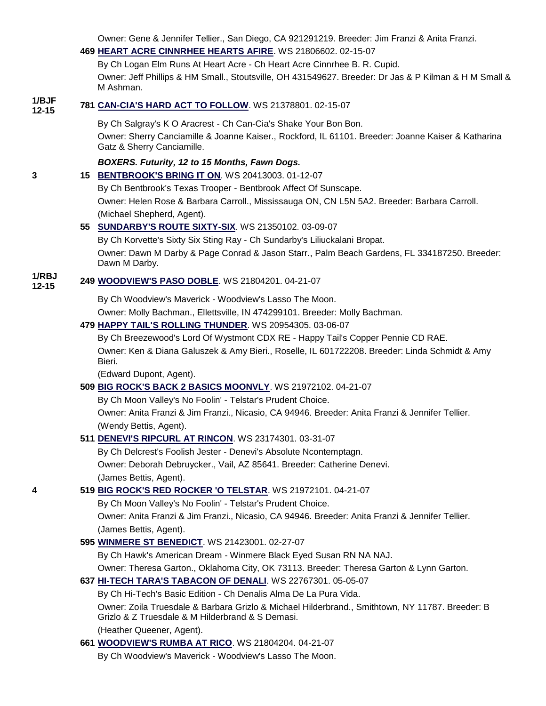Owner: Gene & Jennifer Tellier., San Diego, CA 921291219. Breeder: Jim Franzi & Anita Franzi.

|       | $100.3$ Correct and the company control of $100.6$ Correct and the correct and the correct and the correct of $\alpha$<br>469 HEART ACRE CINNRHEE HEARTS AFIRE. WS 21806602. 02-15-07 |
|-------|---------------------------------------------------------------------------------------------------------------------------------------------------------------------------------------|
|       | By Ch Logan Elm Runs At Heart Acre - Ch Heart Acre Cinnrhee B. R. Cupid.                                                                                                              |
|       | Owner: Jeff Phillips & HM Small., Stoutsville, OH 431549627. Breeder: Dr Jas & P Kilman & H M Small &<br>M Ashman.                                                                    |
| 1/BJF | 781 CAN-CIA'S HARD ACT TO FOLLOW. WS 21378801. 02-15-07                                                                                                                               |
|       | By Ch Salgray's K O Aracrest - Ch Can-Cia's Shake Your Bon Bon.                                                                                                                       |
|       | Owner: Sherry Canciamille & Joanne Kaiser., Rockford, IL 61101. Breeder: Joanne Kaiser & Katharina<br>Gatz & Sherry Canciamille.                                                      |
|       | BOXERS. Futurity, 12 to 15 Months, Fawn Dogs.                                                                                                                                         |
|       | 15 BENTBROOK'S BRING IT ON. WS 20413003. 01-12-07                                                                                                                                     |
|       | By Ch Bentbrook's Texas Trooper - Bentbrook Affect Of Sunscape.                                                                                                                       |
|       | Owner: Helen Rose & Barbara Carroll., Mississauga ON, CN L5N 5A2. Breeder: Barbara Carroll.                                                                                           |
|       | (Michael Shepherd, Agent).                                                                                                                                                            |
|       | 55 SUNDARBY'S ROUTE SIXTY-SIX. WS 21350102. 03-09-07                                                                                                                                  |
|       | By Ch Korvette's Sixty Six Sting Ray - Ch Sundarby's Liliuckalani Bropat.                                                                                                             |
|       | Owner: Dawn M Darby & Page Conrad & Jason Starr., Palm Beach Gardens, FL 334187250. Breeder:<br>Dawn M Darby.                                                                         |
|       | 249 WOODVIEW'S PASO DOBLE. WS 21804201. 04-21-07                                                                                                                                      |
|       | By Ch Woodview's Maverick - Woodview's Lasso The Moon.                                                                                                                                |
|       | Owner: Molly Bachman., Ellettsville, IN 474299101. Breeder: Molly Bachman.                                                                                                            |
|       | 479 HAPPY TAIL'S ROLLING THUNDER. WS 20954305. 03-06-07                                                                                                                               |
|       | By Ch Breezewood's Lord Of Wystmont CDX RE - Happy Tail's Copper Pennie CD RAE.                                                                                                       |
|       | Owner: Ken & Diana Galuszek & Amy Bieri., Roselle, IL 601722208. Breeder: Linda Schmidt & Amy<br>Bieri.                                                                               |
|       | (Edward Dupont, Agent).                                                                                                                                                               |
|       | 509 BIG ROCK'S BACK 2 BASICS MOONVLY. WS 21972102. 04-21-07                                                                                                                           |
|       | By Ch Moon Valley's No Foolin' - Telstar's Prudent Choice.                                                                                                                            |
|       | Owner: Anita Franzi & Jim Franzi., Nicasio, CA 94946. Breeder: Anita Franzi & Jennifer Tellier.                                                                                       |
|       | (Wendy Bettis, Agent).                                                                                                                                                                |
|       | 511 DENEVI'S RIPCURL AT RINCON. WS 23174301. 03-31-07                                                                                                                                 |
|       | By Ch Delcrest's Foolish Jester - Denevi's Absolute Ncontemptagn.                                                                                                                     |
|       | Owner: Deborah Debruycker., Vail, AZ 85641. Breeder: Catherine Denevi.                                                                                                                |
|       | (James Bettis, Agent).                                                                                                                                                                |
|       | 519 BIG ROCK'S RED ROCKER 'O TELSTAR. WS 21972101. 04-21-07                                                                                                                           |
|       | By Ch Moon Valley's No Foolin' - Telstar's Prudent Choice.                                                                                                                            |
|       | Owner: Anita Franzi & Jim Franzi., Nicasio, CA 94946. Breeder: Anita Franzi & Jennifer Tellier.                                                                                       |
|       | (James Bettis, Agent).                                                                                                                                                                |
|       | 595 WINMERE ST BENEDICT. WS 21423001. 02-27-07                                                                                                                                        |
|       | By Ch Hawk's American Dream - Winmere Black Eyed Susan RN NA NAJ.                                                                                                                     |
|       | Owner: Theresa Garton., Oklahoma City, OK 73113. Breeder: Theresa Garton & Lynn Garton.                                                                                               |
|       | 637 HI-TECH TARA'S TABACON OF DENALI. WS 22767301.05-05-07                                                                                                                            |
|       | By Ch Hi-Tech's Basic Edition - Ch Denalis Alma De La Pura Vida.                                                                                                                      |
|       | Owner: Zoila Truesdale & Barbara Grizlo & Michael Hilderbrand., Smithtown, NY 11787. Breeder: B                                                                                       |
|       | Grizlo & Z Truesdale & M Hilderbrand & S Demasi.                                                                                                                                      |
|       | (Heather Queener, Agent).                                                                                                                                                             |
|       | 661 WOODVIEW'S RUMBA AT RICO. WS 21804204. 04-21-07                                                                                                                                   |
|       | By Ch Woodview's Maverick - Woodview's Lasso The Moon.                                                                                                                                |
|       |                                                                                                                                                                                       |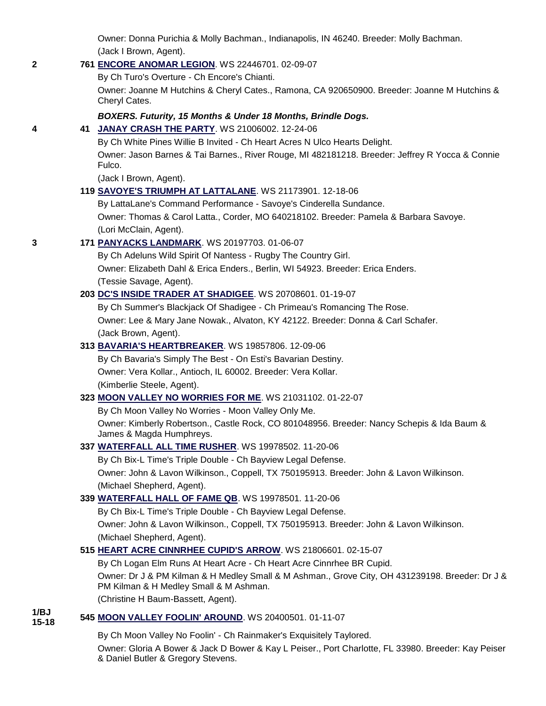Owner: Donna Purichia & Molly Bachman., Indianapolis, IN 46240. Breeder: Molly Bachman. (Jack I Brown, Agent).

### **2 761 [ENCORE ANOMAR LEGION](http://canis.infodog.com/files/bdogrsl1.prg;makc=WS_22446701;mdog=Encore_Anomar_Legion;wins=all)**. WS 22446701. 02-09-07

By Ch Turo's Overture - Ch Encore's Chianti.

Owner: Joanne M Hutchins & Cheryl Cates., Ramona, CA 920650900. Breeder: Joanne M Hutchins & Cheryl Cates.

### *BOXERS. Futurity, 15 Months & Under 18 Months, Brindle Dogs.*

### **4 41 [JANAY CRASH THE PARTY](http://canis.infodog.com/files/bdogrsl1.prg;makc=WS_21006002;mdog=Janay_Crash_The_Party;wins=all)**. WS 21006002. 12-24-06

By Ch White Pines Willie B Invited - Ch Heart Acres N Ulco Hearts Delight. Owner: Jason Barnes & Tai Barnes., River Rouge, MI 482181218. Breeder: Jeffrey R Yocca & Connie Fulco.

(Jack I Brown, Agent).

### **119 [SAVOYE'S TRIUMPH AT LATTALANE](http://canis.infodog.com/files/bdogrsl1.prg;makc=WS_21173901;mdog=Savoye_s_Triumph_At_LattaLane;wins=all)**. WS 21173901. 12-18-06

By LattaLane's Command Performance - Savoye's Cinderella Sundance. Owner: Thomas & Carol Latta., Corder, MO 640218102. Breeder: Pamela & Barbara Savoye. (Lori McClain, Agent).

### **3 171 [PANYACKS LANDMARK](http://canis.infodog.com/files/bdogrsl1.prg;makc=WS_20197703;mdog=Panyacks_Landmark;wins=all)**. WS 20197703. 01-06-07

By Ch Adeluns Wild Spirit Of Nantess - Rugby The Country Girl. Owner: Elizabeth Dahl & Erica Enders., Berlin, WI 54923. Breeder: Erica Enders. (Tessie Savage, Agent).

### **203 [DC'S INSIDE TRADER AT SHADIGEE](http://canis.infodog.com/files/bdogrsl1.prg;makc=WS_20708601;mdog=DC_s_Inside_Trader_At_Shadigee;wins=all)**. WS 20708601. 01-19-07

By Ch Summer's Blackjack Of Shadigee - Ch Primeau's Romancing The Rose. Owner: Lee & Mary Jane Nowak., Alvaton, KY 42122. Breeder: Donna & Carl Schafer. (Jack Brown, Agent).

### **313 [BAVARIA'S HEARTBREAKER](http://canis.infodog.com/files/bdogrsl1.prg;makc=WS_19857806;mdog=Bavaria_s_Heartbreaker;wins=all)**. WS 19857806. 12-09-06

By Ch Bavaria's Simply The Best - On Esti's Bavarian Destiny. Owner: Vera Kollar., Antioch, IL 60002. Breeder: Vera Kollar. (Kimberlie Steele, Agent).

### **323 [MOON VALLEY NO WORRIES FOR ME](http://canis.infodog.com/files/bdogrsl1.prg;makc=WS_21031102;mdog=Moon_Valley_No_Worries_For_Me;wins=all)**. WS 21031102. 01-22-07

By Ch Moon Valley No Worries - Moon Valley Only Me. Owner: Kimberly Robertson., Castle Rock, CO 801048956. Breeder: Nancy Schepis & Ida Baum & James & Magda Humphreys.

### **337 [WATERFALL ALL TIME RUSHER](http://canis.infodog.com/files/bdogrsl1.prg;makc=WS_19978502;mdog=Waterfall_All_Time_Rusher;wins=all)**. WS 19978502. 11-20-06

By Ch Bix-L Time's Triple Double - Ch Bayview Legal Defense. Owner: John & Lavon Wilkinson., Coppell, TX 750195913. Breeder: John & Lavon Wilkinson. (Michael Shepherd, Agent).

### **339 [WATERFALL HALL OF FAME QB](http://canis.infodog.com/files/bdogrsl1.prg;makc=WS_19978501;mdog=Waterfall_Hall_Of_Fame_QB;wins=all)**. WS 19978501. 11-20-06

By Ch Bix-L Time's Triple Double - Ch Bayview Legal Defense. Owner: John & Lavon Wilkinson., Coppell, TX 750195913. Breeder: John & Lavon Wilkinson. (Michael Shepherd, Agent).

### **515 [HEART ACRE CINNRHEE CUPID'S ARROW](http://canis.infodog.com/files/bdogrsl1.prg;makc=WS_21806601;mdog=Heart_Acre_Cinnrhee_Cupid_s_Arrow;wins=all)**. WS 21806601. 02-15-07

By Ch Logan Elm Runs At Heart Acre - Ch Heart Acre Cinnrhee BR Cupid. Owner: Dr J & PM Kilman & H Medley Small & M Ashman., Grove City, OH 431239198. Breeder: Dr J & PM Kilman & H Medley Small & M Ashman. (Christine H Baum-Bassett, Agent).

#### **1/BJ 15-18 <sup>545</sup> [MOON VALLEY FOOLIN' AROUND](http://canis.infodog.com/files/bdogrsl1.prg;makc=WS_20400501;mdog=Moon_Valley_Foolin__Around;wins=all)**. WS 20400501. 01-11-07

By Ch Moon Valley No Foolin' - Ch Rainmaker's Exquisitely Taylored. Owner: Gloria A Bower & Jack D Bower & Kay L Peiser., Port Charlotte, FL 33980. Breeder: Kay Peiser & Daniel Butler & Gregory Stevens.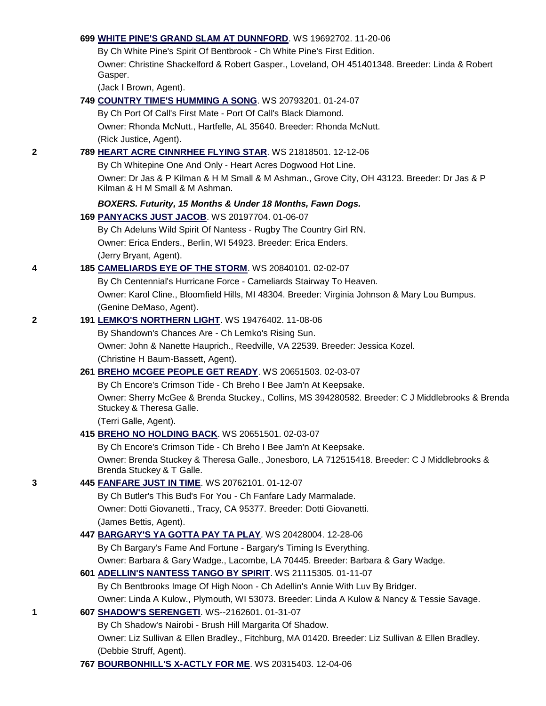#### **699 [WHITE PINE'S GRAND SLAM AT DUNNFORD](http://canis.infodog.com/files/bdogrsl1.prg;makc=WS_19692702;mdog=White_Pine_s_Grand_Slam_At_Dunnford;wins=all)**. WS 19692702. 11-20-06

By Ch White Pine's Spirit Of Bentbrook - Ch White Pine's First Edition. Owner: Christine Shackelford & Robert Gasper., Loveland, OH 451401348. Breeder: Linda & Robert Gasper.

(Jack I Brown, Agent).

# **749 [COUNTRY TIME'S HUMMING A SONG](http://canis.infodog.com/files/bdogrsl1.prg;makc=WS_20793201;mdog=Country_Time_s_Humming_A_Song;wins=all)**. WS 20793201. 01-24-07 By Ch Port Of Call's First Mate - Port Of Call's Black Diamond. Owner: Rhonda McNutt., Hartfelle, AL 35640. Breeder: Rhonda McNutt. (Rick Justice, Agent). **2 789 [HEART ACRE CINNRHEE FLYING STAR](http://canis.infodog.com/files/bdogrsl1.prg;makc=WS_21818501;mdog=Heart_Acre_Cinnrhee_Flying_Star;wins=all)**. WS 21818501. 12-12-06 By Ch Whitepine One And Only - Heart Acres Dogwood Hot Line. Owner: Dr Jas & P Kilman & H M Small & M Ashman., Grove City, OH 43123. Breeder: Dr Jas & P Kilman & H M Small & M Ashman. *BOXERS. Futurity, 15 Months & Under 18 Months, Fawn Dogs.* **169 [PANYACKS JUST JACOB](http://canis.infodog.com/files/bdogrsl1.prg;makc=WS_20197704;mdog=Panyacks_Just_Jacob;wins=all)**. WS 20197704. 01-06-07 By Ch Adeluns Wild Spirit Of Nantess - Rugby The Country Girl RN. Owner: Erica Enders., Berlin, WI 54923. Breeder: Erica Enders. (Jerry Bryant, Agent). **4 185 [CAMELIARDS EYE OF THE STORM](http://canis.infodog.com/files/bdogrsl1.prg;makc=WS_20840101;mdog=Cameliards_Eye_Of_The_Storm;wins=all)**. WS 20840101. 02-02-07 By Ch Centennial's Hurricane Force - Cameliards Stairway To Heaven. Owner: Karol Cline., Bloomfield Hills, MI 48304. Breeder: Virginia Johnson & Mary Lou Bumpus. (Genine DeMaso, Agent). **2 191 [LEMKO'S NORTHERN LIGHT](http://canis.infodog.com/files/bdogrsl1.prg;makc=WS_19476402;mdog=Lemko_s_Northern_Light;wins=all)**. WS 19476402. 11-08-06 By Shandown's Chances Are - Ch Lemko's Rising Sun. Owner: John & Nanette Hauprich., Reedville, VA 22539. Breeder: Jessica Kozel. (Christine H Baum-Bassett, Agent). **261 [BREHO MCGEE PEOPLE GET READY](http://canis.infodog.com/files/bdogrsl1.prg;makc=WS_20651503;mdog=Breho_McGee_People_Get_Ready;wins=all)**. WS 20651503. 02-03-07 By Ch Encore's Crimson Tide - Ch Breho I Bee Jam'n At Keepsake. Owner: Sherry McGee & Brenda Stuckey., Collins, MS 394280582. Breeder: C J Middlebrooks & Brenda Stuckey & Theresa Galle. (Terri Galle, Agent). **415 [BREHO NO HOLDING BACK](http://canis.infodog.com/files/bdogrsl1.prg;makc=WS_20651501;mdog=Breho_No_Holding_Back;wins=all)**. WS 20651501. 02-03-07 By Ch Encore's Crimson Tide - Ch Breho I Bee Jam'n At Keepsake. Owner: Brenda Stuckey & Theresa Galle., Jonesboro, LA 712515418. Breeder: C J Middlebrooks & Brenda Stuckey & T Galle. **3 445 [FANFARE JUST IN TIME](http://canis.infodog.com/files/bdogrsl1.prg;makc=WS_20762101;mdog=Fanfare_Just_In_Time;wins=all)**. WS 20762101. 01-12-07 By Ch Butler's This Bud's For You - Ch Fanfare Lady Marmalade. Owner: Dotti Giovanetti., Tracy, CA 95377. Breeder: Dotti Giovanetti. (James Bettis, Agent). **447 [BARGARY'S YA GOTTA PAY TA PLAY](http://canis.infodog.com/files/bdogrsl1.prg;makc=WS_20428004;mdog=Bargary_s_Ya_Gotta_Pay_Ta_Play;wins=all)**. WS 20428004. 12-28-06 By Ch Bargary's Fame And Fortune - Bargary's Timing Is Everything. Owner: Barbara & Gary Wadge., Lacombe, LA 70445. Breeder: Barbara & Gary Wadge. **601 [ADELLIN'S NANTESS TANGO BY SPIRIT](http://canis.infodog.com/files/bdogrsl1.prg;makc=WS_21115305;mdog=Adellin_s_Nantess_Tango_By_Spirit;wins=all)**. WS 21115305. 01-11-07 By Ch Bentbrooks Image Of High Noon - Ch Adellin's Annie With Luv By Bridger. Owner: Linda A Kulow., Plymouth, WI 53073. Breeder: Linda A Kulow & Nancy & Tessie Savage. **1 607 [SHADOW'S SERENGETI](http://canis.infodog.com/files/bdogrsl1.prg;makc=WS--2162601;mdog=Shadow_s_Serengeti;wins=all)**. WS--2162601. 01-31-07 By Ch Shadow's Nairobi - Brush Hill Margarita Of Shadow.

Owner: Liz Sullivan & Ellen Bradley., Fitchburg, MA 01420. Breeder: Liz Sullivan & Ellen Bradley.

**767 [BOURBONHILL'S X-ACTLY FOR ME](http://canis.infodog.com/files/bdogrsl1.prg;makc=WS_20315403;mdog=Bourbonhill_s_X-Actly_For_Me;wins=all)**. WS 20315403. 12-04-06

(Debbie Struff, Agent).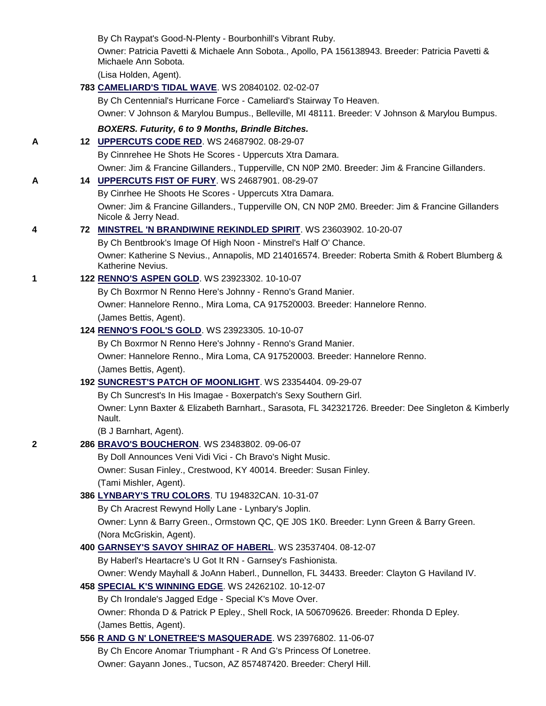By Ch Raypat's Good-N-Plenty - Bourbonhill's Vibrant Ruby.

Owner: Patricia Pavetti & Michaele Ann Sobota., Apollo, PA 156138943. Breeder: Patricia Pavetti & Michaele Ann Sobota.

(Lisa Holden, Agent).

### **783 [CAMELIARD'S TIDAL WAVE](http://canis.infodog.com/files/bdogrsl1.prg;makc=WS_20840102;mdog=Cameliard_s_Tidal_Wave;wins=all)**. WS 20840102. 02-02-07

By Ch Centennial's Hurricane Force - Cameliard's Stairway To Heaven.

Owner: V Johnson & Marylou Bumpus., Belleville, MI 48111. Breeder: V Johnson & Marylou Bumpus.

### *BOXERS. Futurity, 6 to 9 Months, Brindle Bitches.*

**A 12 [UPPERCUTS CODE RED](http://canis.infodog.com/files/bdogrsl1.prg;makc=WS_24687902;mdog=Uppercuts_Code_Red;wins=all)**. WS 24687902. 08-29-07

By Cinnrehee He Shots He Scores - Uppercuts Xtra Damara.

Owner: Jim & Francine Gillanders., Tupperville, CN N0P 2M0. Breeder: Jim & Francine Gillanders.

### **A 14 [UPPERCUTS FIST OF FURY](http://canis.infodog.com/files/bdogrsl1.prg;makc=WS_24687901;mdog=Uppercuts_Fist_Of_Fury;wins=all)**. WS 24687901. 08-29-07

By Cinrhee He Shoots He Scores - Uppercuts Xtra Damara. Owner: Jim & Francine Gillanders., Tupperville ON, CN N0P 2M0. Breeder: Jim & Francine Gillanders Nicole & Jerry Nead.

### **4 72 [MINSTREL 'N BRANDIWINE REKINDLED SPIRIT](http://canis.infodog.com/files/bdogrsl1.prg;makc=WS_23603902;mdog=Minstrel__n_Brandiwine_Rekindled_Spirit;wins=all)**. WS 23603902. 10-20-07

By Ch Bentbrook's Image Of High Noon - Minstrel's Half O' Chance.

Owner: Katherine S Nevius., Annapolis, MD 214016574. Breeder: Roberta Smith & Robert Blumberg & Katherine Nevius.

### **1 122 [RENNO'S ASPEN GOLD](http://canis.infodog.com/files/bdogrsl1.prg;makc=WS_23923302;mdog=Renno_s_Aspen_Gold;wins=all)**. WS 23923302. 10-10-07

By Ch Boxrmor N Renno Here's Johnny - Renno's Grand Manier. Owner: Hannelore Renno., Mira Loma, CA 917520003. Breeder: Hannelore Renno. (James Bettis, Agent).

#### **124 [RENNO'S FOOL'S GOLD](http://canis.infodog.com/files/bdogrsl1.prg;makc=WS_23923305;mdog=Renno_s_Fool_s_Gold;wins=all)**. WS 23923305. 10-10-07

By Ch Boxrmor N Renno Here's Johnny - Renno's Grand Manier. Owner: Hannelore Renno., Mira Loma, CA 917520003. Breeder: Hannelore Renno. (James Bettis, Agent).

### **192 [SUNCREST'S PATCH OF MOONLIGHT](http://canis.infodog.com/files/bdogrsl1.prg;makc=WS_23354404;mdog=Suncrest_s_Patch_Of_Moonlight;wins=all)**. WS 23354404. 09-29-07

By Ch Suncrest's In His Imagae - Boxerpatch's Sexy Southern Girl. Owner: Lynn Baxter & Elizabeth Barnhart., Sarasota, FL 342321726. Breeder: Dee Singleton & Kimberly Nault.

(B J Barnhart, Agent).

### **2 286 [BRAVO'S BOUCHERON](http://canis.infodog.com/files/bdogrsl1.prg;makc=WS_23483802;mdog=Bravo_s_Boucheron;wins=all)**. WS 23483802. 09-06-07

By Doll Announces Veni Vidi Vici - Ch Bravo's Night Music. Owner: Susan Finley., Crestwood, KY 40014. Breeder: Susan Finley. (Tami Mishler, Agent).

### **386 [LYNBARY'S TRU COLORS](http://canis.infodog.com/files/bdogrsl1.prg;makc=TU_194832CAN;mdog=Lynbary_s_Tru_Colors;wins=all)**. TU 194832CAN. 10-31-07

By Ch Aracrest Rewynd Holly Lane - Lynbary's Joplin.

Owner: Lynn & Barry Green., Ormstown QC, QE J0S 1K0. Breeder: Lynn Green & Barry Green. (Nora McGriskin, Agent).

### **400 [GARNSEY'S SAVOY SHIRAZ OF HABERL](http://canis.infodog.com/files/bdogrsl1.prg;makc=WS_23537404;mdog=Garnsey_s_Savoy_Shiraz_Of_Haberl;wins=all)**. WS 23537404. 08-12-07

By Haberl's Heartacre's U Got It RN - Garnsey's Fashionista.

Owner: Wendy Mayhall & JoAnn Haberl., Dunnellon, FL 34433. Breeder: Clayton G Haviland IV.

## **458 [SPECIAL K'S WINNING EDGE](http://canis.infodog.com/files/bdogrsl1.prg;makc=WS_24262102;mdog=Special_K_s_Winning_Edge;wins=all)**. WS 24262102. 10-12-07

By Ch Irondale's Jagged Edge - Special K's Move Over.

Owner: Rhonda D & Patrick P Epley., Shell Rock, IA 506709626. Breeder: Rhonda D Epley. (James Bettis, Agent).

# **556 [R AND G N' LONETREE'S MASQUERADE](http://canis.infodog.com/files/bdogrsl1.prg;makc=WS_23976802;mdog=R_And_G_N__Lonetree_s_Masquerade;wins=all)**. WS 23976802. 11-06-07 By Ch Encore Anomar Triumphant - R And G's Princess Of Lonetree. Owner: Gayann Jones., Tucson, AZ 857487420. Breeder: Cheryl Hill.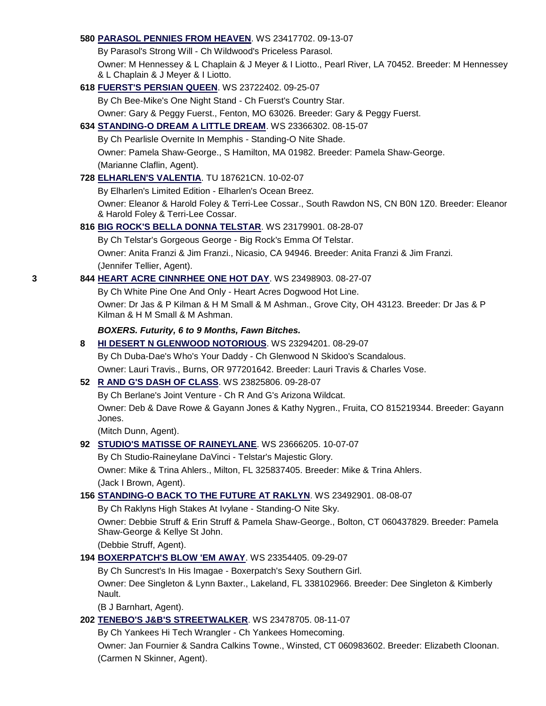#### **580 [PARASOL PENNIES FROM HEAVEN](http://canis.infodog.com/files/bdogrsl1.prg;makc=WS_23417702;mdog=Parasol_Pennies_From_Heaven;wins=all)**. WS 23417702. 09-13-07

By Parasol's Strong Will - Ch Wildwood's Priceless Parasol.

Owner: M Hennessey & L Chaplain & J Meyer & I Liotto., Pearl River, LA 70452. Breeder: M Hennessey & L Chaplain & J Meyer & I Liotto.

### **618 [FUERST'S PERSIAN QUEEN](http://canis.infodog.com/files/bdogrsl1.prg;makc=WS_23722402;mdog=Fuerst_s_Persian_Queen;wins=all)**. WS 23722402. 09-25-07

By Ch Bee-Mike's One Night Stand - Ch Fuerst's Country Star.

Owner: Gary & Peggy Fuerst., Fenton, MO 63026. Breeder: Gary & Peggy Fuerst.

### **634 [STANDING-O DREAM A LITTLE DREAM](http://canis.infodog.com/files/bdogrsl1.prg;makc=WS_23366302;mdog=Standing-O_Dream_A_Little_Dream;wins=all)**. WS 23366302. 08-15-07

By Ch Pearlisle Overnite In Memphis - Standing-O Nite Shade. Owner: Pamela Shaw-George., S Hamilton, MA 01982. Breeder: Pamela Shaw-George. (Marianne Claflin, Agent).

### **728 [ELHARLEN'S VALENTIA](http://canis.infodog.com/files/bdogrsl1.prg;makc=TU_187621CN;mdog=Elharlen_s_Valentia;wins=all)**. TU 187621CN. 10-02-07

By Elharlen's Limited Edition - Elharlen's Ocean Breez.

Owner: Eleanor & Harold Foley & Terri-Lee Cossar., South Rawdon NS, CN B0N 1Z0. Breeder: Eleanor & Harold Foley & Terri-Lee Cossar.

### **816 [BIG ROCK'S BELLA DONNA TELSTAR](http://canis.infodog.com/files/bdogrsl1.prg;makc=WS_23179901;mdog=Big_Rock_s_Bella_Donna_Telstar;wins=all)**. WS 23179901. 08-28-07

By Ch Telstar's Gorgeous George - Big Rock's Emma Of Telstar. Owner: Anita Franzi & Jim Franzi., Nicasio, CA 94946. Breeder: Anita Franzi & Jim Franzi. (Jennifer Tellier, Agent).

### **3 844 [HEART ACRE CINNRHEE ONE HOT DAY](http://canis.infodog.com/files/bdogrsl1.prg;makc=WS_23498903;mdog=Heart_Acre_Cinnrhee_One_Hot_Day;wins=all)**. WS 23498903. 08-27-07

By Ch White Pine One And Only - Heart Acres Dogwood Hot Line. Owner: Dr Jas & P Kilman & H M Small & M Ashman., Grove City, OH 43123. Breeder: Dr Jas & P Kilman & H M Small & M Ashman.

### *BOXERS. Futurity, 6 to 9 Months, Fawn Bitches.*

**8 [HI DESERT N GLENWOOD NOTORIOUS](http://canis.infodog.com/files/bdogrsl1.prg;makc=WS_23294201;mdog=Hi_Desert_N_Glenwood_Notorious;wins=all)**. WS 23294201. 08-29-07

By Ch Duba-Dae's Who's Your Daddy - Ch Glenwood N Skidoo's Scandalous.

Owner: Lauri Travis., Burns, OR 977201642. Breeder: Lauri Travis & Charles Vose.

## **52 [R AND G'S DASH OF CLASS](http://canis.infodog.com/files/bdogrsl1.prg;makc=WS_23825806;mdog=R_And_G_s_Dash_Of_Class;wins=all)**. WS 23825806. 09-28-07

By Ch Berlane's Joint Venture - Ch R And G's Arizona Wildcat.

Owner: Deb & Dave Rowe & Gayann Jones & Kathy Nygren., Fruita, CO 815219344. Breeder: Gayann Jones.

(Mitch Dunn, Agent).

### **92 [STUDIO'S MATISSE OF RAINEYLANE](http://canis.infodog.com/files/bdogrsl1.prg;makc=WS_23666205;mdog=Studio_s_Matisse_Of_Raineylane;wins=all)**. WS 23666205. 10-07-07

By Ch Studio-Raineylane DaVinci - Telstar's Majestic Glory.

Owner: Mike & Trina Ahlers., Milton, FL 325837405. Breeder: Mike & Trina Ahlers. (Jack I Brown, Agent).

### **156 [STANDING-O BACK TO THE FUTURE AT RAKLYN](http://canis.infodog.com/files/bdogrsl1.prg;makc=WS_23492901;mdog=Standing-O_Back_To_The_Future_At_Raklyn;wins=all)**. WS 23492901. 08-08-07

By Ch Raklyns High Stakes At Ivylane - Standing-O Nite Sky.

Owner: Debbie Struff & Erin Struff & Pamela Shaw-George., Bolton, CT 060437829. Breeder: Pamela Shaw-George & Kellye St John.

(Debbie Struff, Agent).

### **194 [BOXERPATCH'S BLOW 'EM AWAY](http://canis.infodog.com/files/bdogrsl1.prg;makc=WS_23354405;mdog=Boxerpatch_s_Blow__Em_Away;wins=all)**. WS 23354405. 09-29-07

By Ch Suncrest's In His Imagae - Boxerpatch's Sexy Southern Girl.

Owner: Dee Singleton & Lynn Baxter., Lakeland, FL 338102966. Breeder: Dee Singleton & Kimberly Nault.

(B J Barnhart, Agent).

### **202 [TENEBO'S J&B'S STREETWALKER](http://canis.infodog.com/files/bdogrsl1.prg;makc=WS_23478705;mdog=Tenebo_s_J&B_s_Streetwalker;wins=all)**. WS 23478705. 08-11-07

By Ch Yankees Hi Tech Wrangler - Ch Yankees Homecoming.

Owner: Jan Fournier & Sandra Calkins Towne., Winsted, CT 060983602. Breeder: Elizabeth Cloonan. (Carmen N Skinner, Agent).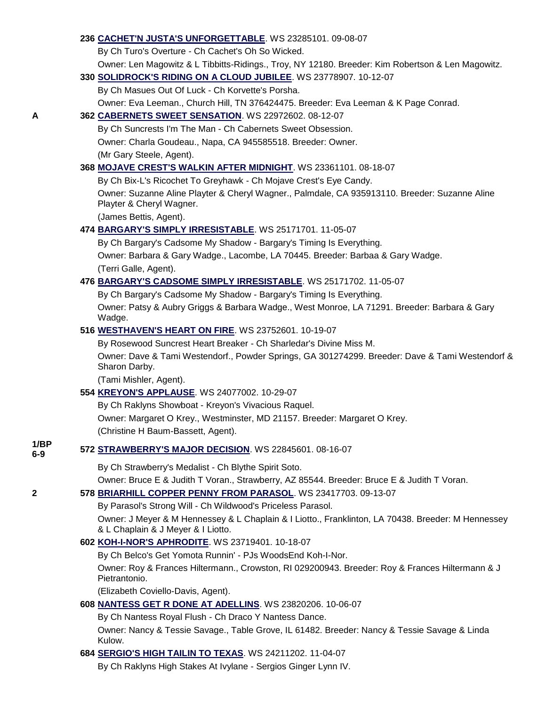|      | 236 CACHET'N JUSTA'S UNFORGETTABLE. WS 23285101. 09-08-07                                                                                |
|------|------------------------------------------------------------------------------------------------------------------------------------------|
|      | By Ch Turo's Overture - Ch Cachet's Oh So Wicked.                                                                                        |
|      | Owner: Len Magowitz & L Tibbitts-Ridings., Troy, NY 12180. Breeder: Kim Robertson & Len Magowitz.                                        |
|      | 330 SOLIDROCK'S RIDING ON A CLOUD JUBILEE. WS 23778907. 10-12-07                                                                         |
|      | By Ch Masues Out Of Luck - Ch Korvette's Porsha.                                                                                         |
|      | Owner: Eva Leeman., Church Hill, TN 376424475. Breeder: Eva Leeman & K Page Conrad.                                                      |
| A    | 362 CABERNETS SWEET SENSATION. WS 22972602. 08-12-07                                                                                     |
|      | By Ch Suncrests I'm The Man - Ch Cabernets Sweet Obsession.                                                                              |
|      | Owner: Charla Goudeau., Napa, CA 945585518. Breeder: Owner.                                                                              |
|      | (Mr Gary Steele, Agent).                                                                                                                 |
|      | 368 MOJAVE CREST'S WALKIN AFTER MIDNIGHT. WS 23361101. 08-18-07                                                                          |
|      | By Ch Bix-L's Ricochet To Greyhawk - Ch Mojave Crest's Eye Candy.                                                                        |
|      | Owner: Suzanne Aline Playter & Cheryl Wagner., Palmdale, CA 935913110. Breeder: Suzanne Aline<br>Playter & Cheryl Wagner.                |
|      | (James Bettis, Agent).                                                                                                                   |
|      | 474 BARGARY'S SIMPLY IRRESISTABLE. WS 25171701. 11-05-07                                                                                 |
|      | By Ch Bargary's Cadsome My Shadow - Bargary's Timing Is Everything.                                                                      |
|      | Owner: Barbara & Gary Wadge., Lacombe, LA 70445. Breeder: Barbaa & Gary Wadge.                                                           |
|      | (Terri Galle, Agent).                                                                                                                    |
|      | 476 BARGARY'S CADSOME SIMPLY IRRESISTABLE. WS 25171702. 11-05-07                                                                         |
|      | By Ch Bargary's Cadsome My Shadow - Bargary's Timing Is Everything.                                                                      |
|      | Owner: Patsy & Aubry Griggs & Barbara Wadge., West Monroe, LA 71291. Breeder: Barbara & Gary<br>Wadge.                                   |
|      | 516 WESTHAVEN'S HEART ON FIRE. WS 23752601. 10-19-07                                                                                     |
|      | By Rosewood Suncrest Heart Breaker - Ch Sharledar's Divine Miss M.                                                                       |
|      | Owner: Dave & Tami Westendorf., Powder Springs, GA 301274299. Breeder: Dave & Tami Westendorf &<br>Sharon Darby.                         |
|      | (Tami Mishler, Agent).                                                                                                                   |
|      | 554 KREYON'S APPLAUSE. WS 24077002. 10-29-07                                                                                             |
|      | By Ch Raklyns Showboat - Kreyon's Vivacious Raquel.                                                                                      |
|      | Owner: Margaret O Krey., Westminster, MD 21157. Breeder: Margaret O Krey.                                                                |
| 1/BP | (Christine H Baum-Bassett, Agent).                                                                                                       |
| 6-9  | 572 STRAWBERRY'S MAJOR DECISION. WS 22845601. 08-16-07                                                                                   |
|      | By Ch Strawberry's Medalist - Ch Blythe Spirit Soto.                                                                                     |
|      | Owner: Bruce E & Judith T Voran., Strawberry, AZ 85544. Breeder: Bruce E & Judith T Voran.                                               |
| 2    | 578 BRIARHILL COPPER PENNY FROM PARASOL. WS 23417703. 09-13-07                                                                           |
|      | By Parasol's Strong Will - Ch Wildwood's Priceless Parasol.                                                                              |
|      | Owner: J Meyer & M Hennessey & L Chaplain & I Liotto., Franklinton, LA 70438. Breeder: M Hennessey<br>& L Chaplain & J Meyer & I Liotto. |
|      | 602 KOH-I-NOR'S APHRODITE. WS 23719401. 10-18-07                                                                                         |
|      | By Ch Belco's Get Yomota Runnin' - PJs WoodsEnd Koh-I-Nor.                                                                               |
|      | Owner: Roy & Frances Hiltermann., Crowston, RI 029200943. Breeder: Roy & Frances Hiltermann & J<br>Pietrantonio.                         |
|      | (Elizabeth Coviello-Davis, Agent).                                                                                                       |
|      | 608 NANTESS GET R DONE AT ADELLINS. WS 23820206. 10-06-07                                                                                |
|      | By Ch Nantess Royal Flush - Ch Draco Y Nantess Dance.                                                                                    |
|      | Owner: Nancy & Tessie Savage., Table Grove, IL 61482. Breeder: Nancy & Tessie Savage & Linda<br>Kulow.                                   |
|      | 684 SERGIO'S HIGH TAILIN TO TEXAS. WS 24211202. 11-04-07                                                                                 |
|      | By Ch Raklyns High Stakes At Ivylane - Sergios Ginger Lynn IV.                                                                           |

**1/BP 6-9**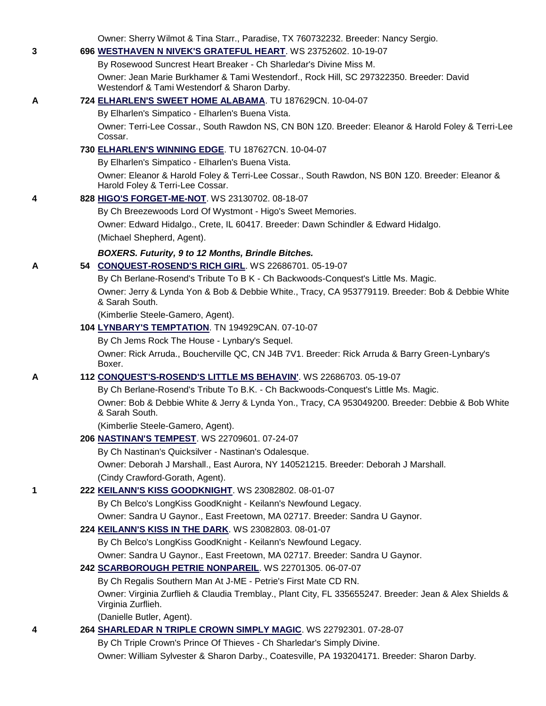Owner: Sherry Wilmot & Tina Starr., Paradise, TX 760732232. Breeder: Nancy Sergio.

### **3 696 [WESTHAVEN N NIVEK'S GRATEFUL HEART](http://canis.infodog.com/files/bdogrsl1.prg;makc=WS_23752602;mdog=Westhaven_N_Nivek_s_Grateful_Heart;wins=all)**. WS 23752602. 10-19-07

By Rosewood Suncrest Heart Breaker - Ch Sharledar's Divine Miss M. Owner: Jean Marie Burkhamer & Tami Westendorf., Rock Hill, SC 297322350. Breeder: David Westendorf & Tami Westendorf & Sharon Darby.

### **A 724 [ELHARLEN'S SWEET HOME ALABAMA](http://canis.infodog.com/files/bdogrsl1.prg;makc=TU_187629CN;mdog=Elharlen_s_Sweet_Home_Alabama;wins=all)**. TU 187629CN. 10-04-07

By Elharlen's Simpatico - Elharlen's Buena Vista.

Owner: Terri-Lee Cossar., South Rawdon NS, CN B0N 1Z0. Breeder: Eleanor & Harold Foley & Terri-Lee Cossar.

### **730 [ELHARLEN'S WINNING EDGE](http://canis.infodog.com/files/bdogrsl1.prg;makc=TU_187627CN;mdog=Elharlen_s_Winning_Edge;wins=all)**. TU 187627CN. 10-04-07

By Elharlen's Simpatico - Elharlen's Buena Vista.

Owner: Eleanor & Harold Foley & Terri-Lee Cossar., South Rawdon, NS B0N 1Z0. Breeder: Eleanor & Harold Foley & Terri-Lee Cossar.

### **4 828 [HIGO'S FORGET-ME-NOT](http://canis.infodog.com/files/bdogrsl1.prg;makc=WS_23130702;mdog=Higo_s_Forget-Me-Not;wins=all)**. WS 23130702. 08-18-07

By Ch Breezewoods Lord Of Wystmont - Higo's Sweet Memories. Owner: Edward Hidalgo., Crete, IL 60417. Breeder: Dawn Schindler & Edward Hidalgo. (Michael Shepherd, Agent).

### *BOXERS. Futurity, 9 to 12 Months, Brindle Bitches.*

### **A 54 [CONQUEST-ROSEND'S RICH GIRL](http://canis.infodog.com/files/bdogrsl1.prg;makc=WS_22686701;mdog=Conquest-Rosend_s_Rich_Girl;wins=all)**. WS 22686701. 05-19-07

By Ch Berlane-Rosend's Tribute To B K - Ch Backwoods-Conquest's Little Ms. Magic.

Owner: Jerry & Lynda Yon & Bob & Debbie White., Tracy, CA 953779119. Breeder: Bob & Debbie White & Sarah South.

(Kimberlie Steele-Gamero, Agent).

### **104 [LYNBARY'S TEMPTATION](http://canis.infodog.com/files/bdogrsl1.prg;makc=TN_194929CAN;mdog=Lynbary_s_Temptation;wins=all)**. TN 194929CAN. 07-10-07

By Ch Jems Rock The House - Lynbary's Sequel.

Owner: Rick Arruda., Boucherville QC, CN J4B 7V1. Breeder: Rick Arruda & Barry Green-Lynbary's Boxer.

### **A 112 [CONQUEST'S-ROSEND'S LITTLE MS BEHAVIN'](http://canis.infodog.com/files/bdogrsl1.prg;makc=WS_22686703;mdog=Conquest_s-Rosend_s_Little_Ms_Behavin_;wins=all)**. WS 22686703. 05-19-07

By Ch Berlane-Rosend's Tribute To B.K. - Ch Backwoods-Conquest's Little Ms. Magic. Owner: Bob & Debbie White & Jerry & Lynda Yon., Tracy, CA 953049200. Breeder: Debbie & Bob White & Sarah South.

(Kimberlie Steele-Gamero, Agent).

### **206 [NASTINAN'S TEMPEST](http://canis.infodog.com/files/bdogrsl1.prg;makc=WS_22709601;mdog=Nastinan_s_Tempest;wins=all)**. WS 22709601. 07-24-07

By Ch Nastinan's Quicksilver - Nastinan's Odalesque.

Owner: Deborah J Marshall., East Aurora, NY 140521215. Breeder: Deborah J Marshall. (Cindy Crawford-Gorath, Agent).

### **1 222 [KEILANN'S KISS GOODKNIGHT](http://canis.infodog.com/files/bdogrsl1.prg;makc=WS_23082802;mdog=Keilann_s_Kiss_GoodKnight;wins=all)**. WS 23082802. 08-01-07

By Ch Belco's LongKiss GoodKnight - Keilann's Newfound Legacy.

Owner: Sandra U Gaynor., East Freetown, MA 02717. Breeder: Sandra U Gaynor.

### **224 [KEILANN'S KISS IN THE DARK](http://canis.infodog.com/files/bdogrsl1.prg;makc=WS_23082803;mdog=Keilann_s_Kiss_In_The_Dark;wins=all)**. WS 23082803. 08-01-07

By Ch Belco's LongKiss GoodKnight - Keilann's Newfound Legacy.

Owner: Sandra U Gaynor., East Freetown, MA 02717. Breeder: Sandra U Gaynor.

### **242 [SCARBOROUGH PETRIE NONPAREIL](http://canis.infodog.com/files/bdogrsl1.prg;makc=WS_22701305;mdog=Scarborough_Petrie_Nonpareil;wins=all)**. WS 22701305. 06-07-07

By Ch Regalis Southern Man At J-ME - Petrie's First Mate CD RN. Owner: Virginia Zurflieh & Claudia Tremblay., Plant City, FL 335655247. Breeder: Jean & Alex Shields & Virginia Zurflieh.

(Danielle Butler, Agent).

### **4 264 [SHARLEDAR N TRIPLE CROWN SIMPLY MAGIC](http://canis.infodog.com/files/bdogrsl1.prg;makc=WS_22792301;mdog=Sharledar_N_Triple_Crown_Simply_Magic;wins=all)**. WS 22792301. 07-28-07

By Ch Triple Crown's Prince Of Thieves - Ch Sharledar's Simply Divine. Owner: William Sylvester & Sharon Darby., Coatesville, PA 193204171. Breeder: Sharon Darby.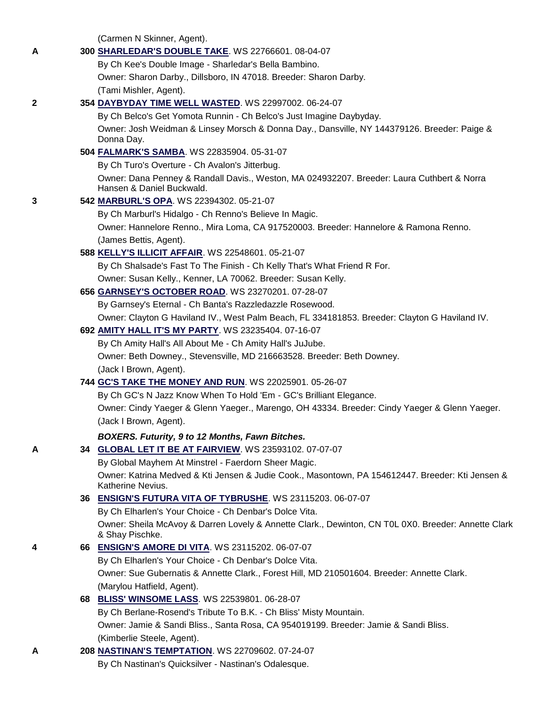(Carmen N Skinner, Agent).

| A           | 300 SHARLEDAR'S DOUBLE TAKE. WS 22766601. 08-04-07                                                                      |
|-------------|-------------------------------------------------------------------------------------------------------------------------|
|             | By Ch Kee's Double Image - Sharledar's Bella Bambino.                                                                   |
|             | Owner: Sharon Darby., Dillsboro, IN 47018. Breeder: Sharon Darby.                                                       |
|             | (Tami Mishler, Agent).                                                                                                  |
| $\mathbf 2$ | 354 DAYBYDAY TIME WELL WASTED. WS 22997002. 06-24-07                                                                    |
|             | By Ch Belco's Get Yomota Runnin - Ch Belco's Just Imagine Daybyday.                                                     |
|             | Owner: Josh Weidman & Linsey Morsch & Donna Day., Dansville, NY 144379126. Breeder: Paige &<br>Donna Day.               |
|             | 504 FALMARK'S SAMBA. WS 22835904. 05-31-07                                                                              |
|             | By Ch Turo's Overture - Ch Avalon's Jitterbug.                                                                          |
|             | Owner: Dana Penney & Randall Davis., Weston, MA 024932207. Breeder: Laura Cuthbert & Norra<br>Hansen & Daniel Buckwald. |
| 3           | 542 MARBURL'S OPA. WS 22394302. 05-21-07                                                                                |
|             | By Ch Marburl's Hidalgo - Ch Renno's Believe In Magic.                                                                  |
|             | Owner: Hannelore Renno., Mira Loma, CA 917520003. Breeder: Hannelore & Ramona Renno.                                    |
|             | (James Bettis, Agent).                                                                                                  |
|             | 588 KELLY'S ILLICIT AFFAIR. WS 22548601. 05-21-07                                                                       |
|             | By Ch Shalsade's Fast To The Finish - Ch Kelly That's What Friend R For.                                                |
|             | Owner: Susan Kelly., Kenner, LA 70062. Breeder: Susan Kelly.                                                            |
|             | 656 GARNSEY'S OCTOBER ROAD. WS 23270201. 07-28-07                                                                       |
|             | By Garnsey's Eternal - Ch Banta's Razzledazzle Rosewood.                                                                |
|             | Owner: Clayton G Haviland IV., West Palm Beach, FL 334181853. Breeder: Clayton G Haviland IV.                           |
|             | 692 AMITY HALL IT'S MY PARTY. WS 23235404. 07-16-07                                                                     |
|             | By Ch Amity Hall's All About Me - Ch Amity Hall's JuJube.                                                               |
|             | Owner: Beth Downey., Stevensville, MD 216663528. Breeder: Beth Downey.                                                  |
|             | (Jack I Brown, Agent).                                                                                                  |
|             | 744 GC'S TAKE THE MONEY AND RUN. WS 22025901. 05-26-07                                                                  |
|             | By Ch GC's N Jazz Know When To Hold 'Em - GC's Brilliant Elegance.                                                      |
|             | Owner: Cindy Yaeger & Glenn Yaeger., Marengo, OH 43334. Breeder: Cindy Yaeger & Glenn Yaeger.                           |
|             | (Jack I Brown, Agent).                                                                                                  |
|             | BOXERS. Futurity, 9 to 12 Months, Fawn Bitches.                                                                         |
| A           | 34 <b>GLOBAL LET IT BE AT FAIRVIEW.</b> WS 23593102. 07-07-07                                                           |
|             | By Global Mayhem At Minstrel - Faerdorn Sheer Magic.                                                                    |
|             | Owner: Katrina Medved & Kti Jensen & Judie Cook., Masontown, PA 154612447. Breeder: Kti Jensen &<br>Katherine Nevius.   |
|             | 36 ENSIGN'S FUTURA VITA OF TYBRUSHE. WS 23115203. 06-07-07                                                              |
|             | By Ch Elharlen's Your Choice - Ch Denbar's Dolce Vita.                                                                  |
|             | Owner: Sheila McAvoy & Darren Lovely & Annette Clark., Dewinton, CN T0L 0X0. Breeder: Annette Clark<br>& Shay Pischke.  |
| 4           | 66 ENSIGN'S AMORE DI VITA. WS 23115202. 06-07-07                                                                        |
|             | By Ch Elharlen's Your Choice - Ch Denbar's Dolce Vita.                                                                  |
|             | Owner: Sue Gubernatis & Annette Clark., Forest Hill, MD 210501604. Breeder: Annette Clark.                              |
|             | (Marylou Hatfield, Agent).                                                                                              |
|             | 68 BLISS' WINSOME LASS. WS 22539801. 06-28-07                                                                           |
|             | By Ch Berlane-Rosend's Tribute To B.K. - Ch Bliss' Misty Mountain.                                                      |
|             | Owner: Jamie & Sandi Bliss., Santa Rosa, CA 954019199. Breeder: Jamie & Sandi Bliss.                                    |
|             | (Kimberlie Steele, Agent).                                                                                              |
| A           | 208 NASTINAN'S TEMPTATION. WS 22709602. 07-24-07                                                                        |
|             | By Ch Nastinan's Quicksilver - Nastinan's Odalesque.                                                                    |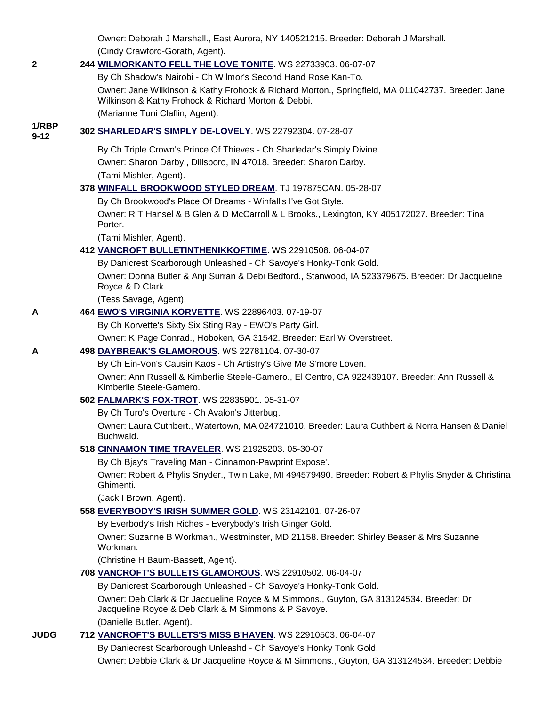Owner: Deborah J Marshall., East Aurora, NY 140521215. Breeder: Deborah J Marshall. (Cindy Crawford-Gorath, Agent). **2 244 [WILMORKANTO FELL THE LOVE TONITE](http://canis.infodog.com/files/bdogrsl1.prg;makc=WS_22733903;mdog=WilmorKanto_Fell_The_Love_Tonite;wins=all)**. WS 22733903. 06-07-07 By Ch Shadow's Nairobi - Ch Wilmor's Second Hand Rose Kan-To. Owner: Jane Wilkinson & Kathy Frohock & Richard Morton., Springfield, MA 011042737. Breeder: Jane Wilkinson & Kathy Frohock & Richard Morton & Debbi. (Marianne Tuni Claflin, Agent). **1/RBP 9-12 <sup>302</sup> [SHARLEDAR'S SIMPLY DE-LOVELY](http://canis.infodog.com/files/bdogrsl1.prg;makc=WS_22792304;mdog=Sharledar_s_Simply_De-Lovely;wins=all)**. WS 22792304. 07-28-07 By Ch Triple Crown's Prince Of Thieves - Ch Sharledar's Simply Divine. Owner: Sharon Darby., Dillsboro, IN 47018. Breeder: Sharon Darby. (Tami Mishler, Agent). **378 [WINFALL BROOKWOOD STYLED DREAM](http://canis.infodog.com/files/bdogrsl1.prg;makc=TJ_197875CAN;mdog=Winfall_Brookwood_Styled_Dream;wins=all)**. TJ 197875CAN. 05-28-07 By Ch Brookwood's Place Of Dreams - Winfall's I've Got Style. Owner: R T Hansel & B Glen & D McCarroll & L Brooks., Lexington, KY 405172027. Breeder: Tina Porter. (Tami Mishler, Agent). **412 [VANCROFT BULLETINTHENIKKOFTIME](http://canis.infodog.com/files/bdogrsl1.prg;makc=WS_22910508;mdog=Vancroft_Bulletinthenikkoftime;wins=all)**. WS 22910508. 06-04-07 By Danicrest Scarborough Unleashed - Ch Savoye's Honky-Tonk Gold. Owner: Donna Butler & Anji Surran & Debi Bedford., Stanwood, IA 523379675. Breeder: Dr Jacqueline Royce & D Clark. (Tess Savage, Agent). **A 464 [EWO'S VIRGINIA KORVETTE](http://canis.infodog.com/files/bdogrsl1.prg;makc=WS_22896403;mdog=EWO_s_Virginia_Korvette;wins=all)**. WS 22896403. 07-19-07 By Ch Korvette's Sixty Six Sting Ray - EWO's Party Girl. Owner: K Page Conrad., Hoboken, GA 31542. Breeder: Earl W Overstreet. **A 498 [DAYBREAK'S GLAMOROUS](http://canis.infodog.com/files/bdogrsl1.prg;makc=WS_22781104;mdog=Daybreak_s_Glamorous;wins=all)**. WS 22781104. 07-30-07 By Ch Ein-Von's Causin Kaos - Ch Artistry's Give Me S'more Loven. Owner: Ann Russell & Kimberlie Steele-Gamero., El Centro, CA 922439107. Breeder: Ann Russell & Kimberlie Steele-Gamero. **502 [FALMARK'S FOX-TROT](http://canis.infodog.com/files/bdogrsl1.prg;makc=WS_22835901;mdog=Falmark_s_Fox-Trot;wins=all)**. WS 22835901. 05-31-07 By Ch Turo's Overture - Ch Avalon's Jitterbug. Owner: Laura Cuthbert., Watertown, MA 024721010. Breeder: Laura Cuthbert & Norra Hansen & Daniel Buchwald. **518 [CINNAMON TIME TRAVELER](http://canis.infodog.com/files/bdogrsl1.prg;makc=WS_21925203;mdog=Cinnamon_Time_Traveler;wins=all)**. WS 21925203. 05-30-07 By Ch Bjay's Traveling Man - Cinnamon-Pawprint Expose'. Owner: Robert & Phylis Snyder., Twin Lake, MI 494579490. Breeder: Robert & Phylis Snyder & Christina Ghimenti. (Jack I Brown, Agent). **558 [EVERYBODY'S IRISH SUMMER GOLD](http://canis.infodog.com/files/bdogrsl1.prg;makc=WS_23142101;mdog=Everybody_s_Irish_Summer_Gold;wins=all)**. WS 23142101. 07-26-07 By Everbody's Irish Riches - Everybody's Irish Ginger Gold. Owner: Suzanne B Workman., Westminster, MD 21158. Breeder: Shirley Beaser & Mrs Suzanne Workman. (Christine H Baum-Bassett, Agent). **708 [VANCROFT'S BULLETS GLAMOROUS](http://canis.infodog.com/files/bdogrsl1.prg;makc=WS_22910502;mdog=Vancroft_s_Bullets_Glamorous;wins=all)**. WS 22910502. 06-04-07 By Danicrest Scarborough Unleashed - Ch Savoye's Honky-Tonk Gold. Owner: Deb Clark & Dr Jacqueline Royce & M Simmons., Guyton, GA 313124534. Breeder: Dr Jacqueline Royce & Deb Clark & M Simmons & P Savoye. (Danielle Butler, Agent). **JUDG 712 [VANCROFT'S BULLETS'S MISS B'HAVEN](http://canis.infodog.com/files/bdogrsl1.prg;makc=WS_22910503;mdog=Vancroft_s_Bullets_s_Miss_B_haven;wins=all)**. WS 22910503. 06-04-07 By Daniecrest Scarborough Unleashd - Ch Savoye's Honky Tonk Gold.

Owner: Debbie Clark & Dr Jacqueline Royce & M Simmons., Guyton, GA 313124534. Breeder: Debbie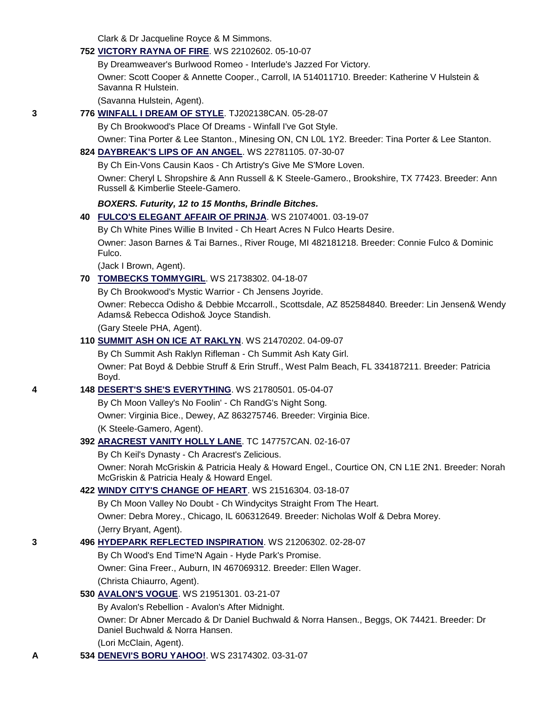Clark & Dr Jacqueline Royce & M Simmons.

### **752 [VICTORY RAYNA OF FIRE](http://canis.infodog.com/files/bdogrsl1.prg;makc=WS_22102602;mdog=Victory_Rayna_Of_Fire;wins=all)**. WS 22102602. 05-10-07

By Dreamweaver's Burlwood Romeo - Interlude's Jazzed For Victory. Owner: Scott Cooper & Annette Cooper., Carroll, IA 514011710. Breeder: Katherine V Hulstein & Savanna R Hulstein.

(Savanna Hulstein, Agent).

### **3 776 [WINFALL I DREAM OF STYLE](http://canis.infodog.com/files/bdogrsl1.prg;makc=TJ202138CAN;mdog=Winfall_I_Dream_Of_Style;wins=all)**. TJ202138CAN. 05-28-07

By Ch Brookwood's Place Of Dreams - Winfall I've Got Style.

Owner: Tina Porter & Lee Stanton., Minesing ON, CN L0L 1Y2. Breeder: Tina Porter & Lee Stanton.

### **824 [DAYBREAK'S LIPS OF AN ANGEL](http://canis.infodog.com/files/bdogrsl1.prg;makc=WS_22781105;mdog=Daybreak_s_Lips_Of_An_Angel;wins=all)**. WS 22781105. 07-30-07

By Ch Ein-Vons Causin Kaos - Ch Artistry's Give Me S'More Loven.

Owner: Cheryl L Shropshire & Ann Russell & K Steele-Gamero., Brookshire, TX 77423. Breeder: Ann Russell & Kimberlie Steele-Gamero.

### *BOXERS. Futurity, 12 to 15 Months, Brindle Bitches.*

**40 [FULCO'S ELEGANT AFFAIR OF PRINJA](http://canis.infodog.com/files/bdogrsl1.prg;makc=WS_21074001;mdog=Fulco_s_Elegant_Affair_Of_Prinja;wins=all)**. WS 21074001. 03-19-07

By Ch White Pines Willie B Invited - Ch Heart Acres N Fulco Hearts Desire.

Owner: Jason Barnes & Tai Barnes., River Rouge, MI 482181218. Breeder: Connie Fulco & Dominic Fulco.

(Jack I Brown, Agent).

### **70 [TOMBECKS TOMMYGIRL](http://canis.infodog.com/files/bdogrsl1.prg;makc=WS_21738302;mdog=Tombecks_Tommygirl;wins=all)**. WS 21738302. 04-18-07

By Ch Brookwood's Mystic Warrior - Ch Jensens Joyride.

Owner: Rebecca Odisho & Debbie Mccarroll., Scottsdale, AZ 852584840. Breeder: Lin Jensen& Wendy Adams& Rebecca Odisho& Joyce Standish.

(Gary Steele PHA, Agent).

### **110 [SUMMIT ASH ON ICE AT RAKLYN](http://canis.infodog.com/files/bdogrsl1.prg;makc=WS_21470202;mdog=Summit_Ash_On_Ice_At_Raklyn;wins=all)**. WS 21470202. 04-09-07

By Ch Summit Ash Raklyn Rifleman - Ch Summit Ash Katy Girl.

Owner: Pat Boyd & Debbie Struff & Erin Struff., West Palm Beach, FL 334187211. Breeder: Patricia Boyd.

### **4 148 [DESERT'S SHE'S EVERYTHING](http://canis.infodog.com/files/bdogrsl1.prg;makc=WS_21780501;mdog=Desert_s_She_s_Everything;wins=all)**. WS 21780501. 05-04-07

By Ch Moon Valley's No Foolin' - Ch RandG's Night Song. Owner: Virginia Bice., Dewey, AZ 863275746. Breeder: Virginia Bice. (K Steele-Gamero, Agent).

### **392 [ARACREST VANITY HOLLY LANE](http://canis.infodog.com/files/bdogrsl1.prg;makc=TC_147757CAN;mdog=Aracrest_Vanity_Holly_Lane;wins=all)**. TC 147757CAN. 02-16-07

By Ch Keil's Dynasty - Ch Aracrest's Zelicious.

Owner: Norah McGriskin & Patricia Healy & Howard Engel., Courtice ON, CN L1E 2N1. Breeder: Norah McGriskin & Patricia Healy & Howard Engel.

### **422 [WINDY CITY'S CHANGE OF HEART](http://canis.infodog.com/files/bdogrsl1.prg;makc=WS_21516304;mdog=Windy_City_s_Change_Of_Heart;wins=all)**. WS 21516304. 03-18-07

By Ch Moon Valley No Doubt - Ch Windycitys Straight From The Heart. Owner: Debra Morey., Chicago, IL 606312649. Breeder: Nicholas Wolf & Debra Morey. (Jerry Bryant, Agent).

#### **3 496 [HYDEPARK REFLECTED INSPIRATION](http://canis.infodog.com/files/bdogrsl1.prg;makc=WS_21206302;mdog=HydePark_Reflected_Inspiration;wins=all)**. WS 21206302. 02-28-07

By Ch Wood's End Time'N Again - Hyde Park's Promise. Owner: Gina Freer., Auburn, IN 467069312. Breeder: Ellen Wager.

(Christa Chiaurro, Agent).

### **530 [AVALON'S VOGUE](http://canis.infodog.com/files/bdogrsl1.prg;makc=WS_21951301;mdog=Avalon_s_Vogue;wins=all)**. WS 21951301. 03-21-07

By Avalon's Rebellion - Avalon's After Midnight.

Owner: Dr Abner Mercado & Dr Daniel Buchwald & Norra Hansen., Beggs, OK 74421. Breeder: Dr Daniel Buchwald & Norra Hansen.

(Lori McClain, Agent).

**A 534 [DENEVI'S BORU YAHOO!](http://canis.infodog.com/files/bdogrsl1.prg;makc=WS_23174302;mdog=Denevi_s_Boru_Yahoo!;wins=all)**. WS 23174302. 03-31-07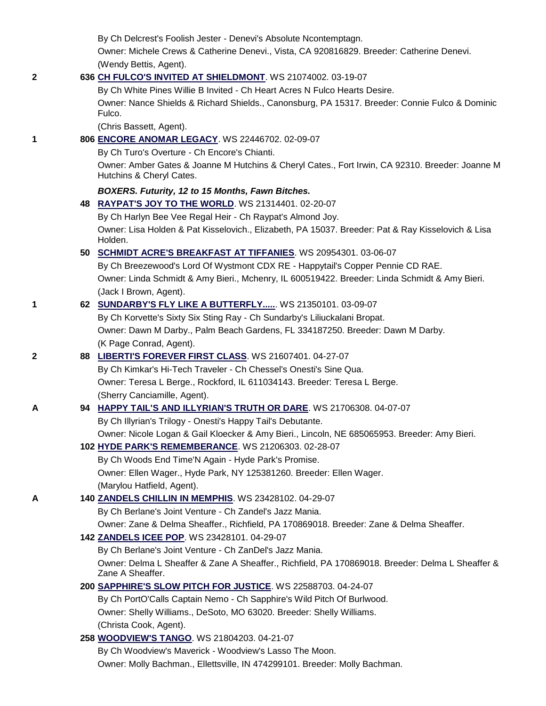By Ch Delcrest's Foolish Jester - Denevi's Absolute Ncontemptagn.

Owner: Michele Crews & Catherine Denevi., Vista, CA 920816829. Breeder: Catherine Denevi. (Wendy Bettis, Agent).

### **2 636 [CH FULCO'S INVITED AT SHIELDMONT](http://canis.infodog.com/files/bdogrsl1.prg;makc=WS_21074002;mdog=Ch_Fulco_s_Invited_At_Shieldmont;wins=all)**. WS 21074002. 03-19-07

By Ch White Pines Willie B Invited - Ch Heart Acres N Fulco Hearts Desire. Owner: Nance Shields & Richard Shields., Canonsburg, PA 15317. Breeder: Connie Fulco & Dominic Fulco.

(Chris Bassett, Agent).

### **1 806 [ENCORE ANOMAR LEGACY](http://canis.infodog.com/files/bdogrsl1.prg;makc=WS_22446702;mdog=Encore_Anomar_Legacy;wins=all)**. WS 22446702. 02-09-07

By Ch Turo's Overture - Ch Encore's Chianti.

Owner: Amber Gates & Joanne M Hutchins & Cheryl Cates., Fort Irwin, CA 92310. Breeder: Joanne M Hutchins & Cheryl Cates.

### *BOXERS. Futurity, 12 to 15 Months, Fawn Bitches.*

**48 [RAYPAT'S JOY TO THE WORLD](http://canis.infodog.com/files/bdogrsl1.prg;makc=WS_21314401;mdog=Raypat_s_Joy_To_The_World;wins=all)**. WS 21314401. 02-20-07 By Ch Harlyn Bee Vee Regal Heir - Ch Raypat's Almond Joy. Owner: Lisa Holden & Pat Kisselovich., Elizabeth, PA 15037. Breeder: Pat & Ray Kisselovich & Lisa Holden.

### **50 [SCHMIDT ACRE'S BREAKFAST AT TIFFANIES](http://canis.infodog.com/files/bdogrsl1.prg;makc=WS_20954301;mdog=Schmidt_Acre_s_Breakfast_At_Tiffanies;wins=all)**. WS 20954301. 03-06-07

By Ch Breezewood's Lord Of Wystmont CDX RE - Happytail's Copper Pennie CD RAE. Owner: Linda Schmidt & Amy Bieri., Mchenry, IL 600519422. Breeder: Linda Schmidt & Amy Bieri. (Jack I Brown, Agent).

# **1 62 [SUNDARBY'S FLY LIKE A BUTTERFLY.....](http://canis.infodog.com/files/bdogrsl1.prg;makc=WS_21350101;mdog=Sundarby_s_Fly_Like_A_Butterfly.....;wins=all)**. WS 21350101. 03-09-07

By Ch Korvette's Sixty Six Sting Ray - Ch Sundarby's Liliuckalani Bropat. Owner: Dawn M Darby., Palm Beach Gardens, FL 334187250. Breeder: Dawn M Darby. (K Page Conrad, Agent).

# **2 88 [LIBERTI'S FOREVER FIRST CLASS](http://canis.infodog.com/files/bdogrsl1.prg;makc=WS_21607401;mdog=Liberti_s_Forever_First_Class;wins=all)**. WS 21607401. 04-27-07

By Ch Kimkar's Hi-Tech Traveler - Ch Chessel's Onesti's Sine Qua. Owner: Teresa L Berge., Rockford, IL 611034143. Breeder: Teresa L Berge. (Sherry Canciamille, Agent).

## **A 94 [HAPPY TAIL'S AND ILLYRIAN'S TRUTH OR DARE](http://canis.infodog.com/files/bdogrsl1.prg;makc=WS_21706308;mdog=Happy_Tail_s_And_Illyrian_s_Truth_Or_Dare;wins=all)**. WS 21706308. 04-07-07

By Ch Illyrian's Trilogy - Onesti's Happy Tail's Debutante.

Owner: Nicole Logan & Gail Kloecker & Amy Bieri., Lincoln, NE 685065953. Breeder: Amy Bieri.

## **102 [HYDE PARK'S REMEMBERANCE](http://canis.infodog.com/files/bdogrsl1.prg;makc=WS_21206303;mdog=Hyde_Park_s_Rememberance;wins=all)**. WS 21206303. 02-28-07

By Ch Woods End Time'N Again - Hyde Park's Promise. Owner: Ellen Wager., Hyde Park, NY 125381260. Breeder: Ellen Wager. (Marylou Hatfield, Agent).

## **A 140 [ZANDELS CHILLIN IN MEMPHIS](http://canis.infodog.com/files/bdogrsl1.prg;makc=WS_23428102;mdog=ZanDels_Chillin_In_Memphis;wins=all)**. WS 23428102. 04-29-07

By Ch Berlane's Joint Venture - Ch Zandel's Jazz Mania.

Owner: Zane & Delma Sheaffer., Richfield, PA 170869018. Breeder: Zane & Delma Sheaffer.

## **142 [ZANDELS ICEE POP](http://canis.infodog.com/files/bdogrsl1.prg;makc=WS_23428101;mdog=ZanDels_Icee_Pop;wins=all)**. WS 23428101. 04-29-07

By Ch Berlane's Joint Venture - Ch ZanDel's Jazz Mania. Owner: Delma L Sheaffer & Zane A Sheaffer., Richfield, PA 170869018. Breeder: Delma L Sheaffer & Zane A Sheaffer.

### **200 [SAPPHIRE'S SLOW PITCH FOR JUSTICE](http://canis.infodog.com/files/bdogrsl1.prg;makc=WS_22588703;mdog=Sapphire_s_Slow_Pitch_For_Justice;wins=all)**. WS 22588703. 04-24-07

By Ch PortO'Calls Captain Nemo - Ch Sapphire's Wild Pitch Of Burlwood. Owner: Shelly Williams., DeSoto, MO 63020. Breeder: Shelly Williams. (Christa Cook, Agent).

### **258 [WOODVIEW'S TANGO](http://canis.infodog.com/files/bdogrsl1.prg;makc=WS_21804203;mdog=Woodview_s_Tango;wins=all)**. WS 21804203. 04-21-07

By Ch Woodview's Maverick - Woodview's Lasso The Moon.

Owner: Molly Bachman., Ellettsville, IN 474299101. Breeder: Molly Bachman.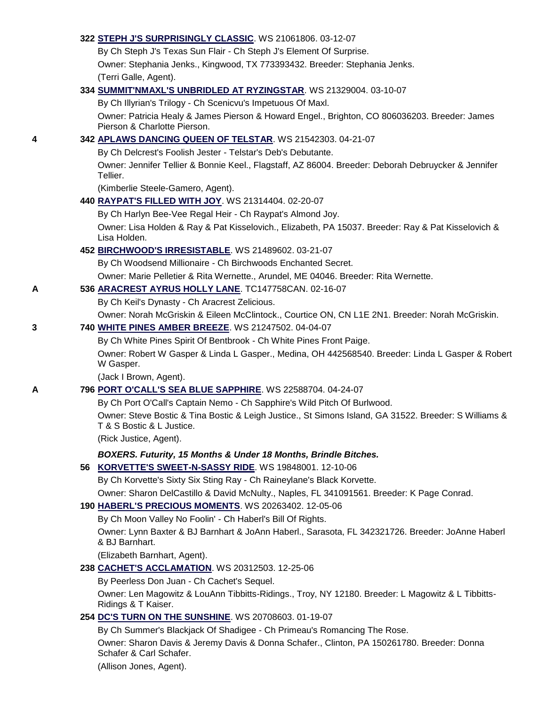|   | 322 STEPH J'S SURPRISINGLY CLASSIC. WS 21061806. 03-12-07                                                                          |
|---|------------------------------------------------------------------------------------------------------------------------------------|
|   | By Ch Steph J's Texas Sun Flair - Ch Steph J's Element Of Surprise.                                                                |
|   | Owner: Stephania Jenks., Kingwood, TX 773393432. Breeder: Stephania Jenks.                                                         |
|   | (Terri Galle, Agent).                                                                                                              |
|   | 334 SUMMIT'NMAXL'S UNBRIDLED AT RYZINGSTAR. WS 21329004. 03-10-07                                                                  |
|   | By Ch Illyrian's Trilogy - Ch Scenicvu's Impetuous Of Maxl.                                                                        |
|   | Owner: Patricia Healy & James Pierson & Howard Engel., Brighton, CO 806036203. Breeder: James<br>Pierson & Charlotte Pierson.      |
| 4 | 342 APLAWS DANCING QUEEN OF TELSTAR. WS 21542303. 04-21-07                                                                         |
|   | By Ch Delcrest's Foolish Jester - Telstar's Deb's Debutante.                                                                       |
|   | Owner: Jennifer Tellier & Bonnie Keel., Flagstaff, AZ 86004. Breeder: Deborah Debruycker & Jennifer<br>Tellier.                    |
|   | (Kimberlie Steele-Gamero, Agent).                                                                                                  |
|   | 440 RAYPAT'S FILLED WITH JOY. WS 21314404. 02-20-07                                                                                |
|   | By Ch Harlyn Bee-Vee Regal Heir - Ch Raypat's Almond Joy.                                                                          |
|   | Owner: Lisa Holden & Ray & Pat Kisselovich., Elizabeth, PA 15037. Breeder: Ray & Pat Kisselovich &<br>Lisa Holden.                 |
|   | 452 BIRCHWOOD'S IRRESISTABLE. WS 21489602. 03-21-07                                                                                |
|   | By Ch Woodsend Millionaire - Ch Birchwoods Enchanted Secret.                                                                       |
|   | Owner: Marie Pelletier & Rita Wernette., Arundel, ME 04046. Breeder: Rita Wernette.                                                |
| Α | 536 ARACREST AYRUS HOLLY LANE. TC147758CAN. 02-16-07                                                                               |
|   | By Ch Keil's Dynasty - Ch Aracrest Zelicious.                                                                                      |
|   | Owner: Norah McGriskin & Eileen McClintock., Courtice ON, CN L1E 2N1. Breeder: Norah McGriskin.                                    |
| 3 | 740 WHITE PINES AMBER BREEZE. WS 21247502. 04-04-07                                                                                |
|   | By Ch White Pines Spirit Of Bentbrook - Ch White Pines Front Paige.                                                                |
|   | Owner: Robert W Gasper & Linda L Gasper., Medina, OH 442568540. Breeder: Linda L Gasper & Robert<br>W Gasper.                      |
|   | (Jack I Brown, Agent).                                                                                                             |
| А | 796 PORT O'CALL'S SEA BLUE SAPPHIRE. WS 22588704. 04-24-07                                                                         |
|   | By Ch Port O'Call's Captain Nemo - Ch Sapphire's Wild Pitch Of Burlwood.                                                           |
|   | Owner: Steve Bostic & Tina Bostic & Leigh Justice., St Simons Island, GA 31522. Breeder: S Williams &<br>T & S Bostic & L Justice. |
|   | (Rick Justice, Agent).                                                                                                             |
|   | BOXERS. Futurity, 15 Months & Under 18 Months, Brindle Bitches.                                                                    |
|   | 56 KORVETTE'S SWEET-N-SASSY RIDE. WS 19848001. 12-10-06                                                                            |
|   | By Ch Korvette's Sixty Six Sting Ray - Ch Raineylane's Black Korvette.                                                             |
|   | Owner: Sharon DelCastillo & David McNulty., Naples, FL 341091561. Breeder: K Page Conrad.                                          |
|   | 190 HABERL'S PRECIOUS MOMENTS. WS 20263402. 12-05-06                                                                               |
|   | By Ch Moon Valley No Foolin' - Ch Haberl's Bill Of Rights.                                                                         |
|   | Owner: Lynn Baxter & BJ Barnhart & JoAnn Haberl., Sarasota, FL 342321726. Breeder: JoAnne Haberl<br>& BJ Barnhart.                 |
|   | (Elizabeth Barnhart, Agent).                                                                                                       |
|   | 238 CACHET'S ACCLAMATION. WS 20312503. 12-25-06                                                                                    |
|   | By Peerless Don Juan - Ch Cachet's Sequel.                                                                                         |
|   | Owner: Len Magowitz & LouAnn Tibbitts-Ridings., Troy, NY 12180. Breeder: L Magowitz & L Tibbitts-<br>Ridings & T Kaiser.           |
|   | 254 DC'S TURN ON THE SUNSHINE. WS 20708603. 01-19-07                                                                               |
|   | By Ch Summer's Blackjack Of Shadigee - Ch Primeau's Romancing The Rose.                                                            |
|   | Owner: Sharon Davis & Jeremy Davis & Donna Schafer., Clinton, PA 150261780. Breeder: Donna<br>Schafer & Carl Schafer.              |
|   | (Allison Jones, Agent).                                                                                                            |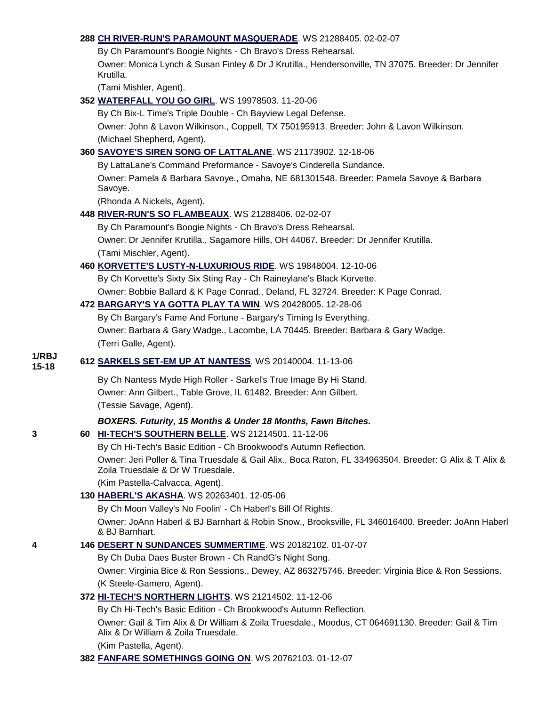#### **288 [CH RIVER-RUN'S PARAMOUNT MASQUERADE](http://canis.infodog.com/files/bdogrsl1.prg;makc=WS_21288405;mdog=Ch_River-Run_s_Paramount_Masquerade;wins=all)**. WS 21288405. 02-02-07

By Ch Paramount's Boogie Nights - Ch Bravo's Dress Rehearsal. Owner: Monica Lynch & Susan Finley & Dr J Krutilla., Hendersonville, TN 37075. Breeder: Dr Jennifer Krutilla.

(Tami Mishler, Agent).

**352 [WATERFALL YOU GO GIRL](http://canis.infodog.com/files/bdogrsl1.prg;makc=WS_19978503;mdog=Waterfall_You_Go_Girl;wins=all)**. WS 19978503. 11-20-06

By Ch Bix-L Time's Triple Double - Ch Bayview Legal Defense.

Owner: John & Lavon Wilkinson., Coppell, TX 750195913. Breeder: John & Lavon Wilkinson. (Michael Shepherd, Agent).

### **360 [SAVOYE'S SIREN SONG OF LATTALANE](http://canis.infodog.com/files/bdogrsl1.prg;makc=WS_21173902;mdog=Savoye_s_Siren_Song_Of_LattaLane;wins=all)**. WS 21173902. 12-18-06

By LattaLane's Command Preformance - Savoye's Cinderella Sundance.

Owner: Pamela & Barbara Savoye., Omaha, NE 681301548. Breeder: Pamela Savoye & Barbara Savoye.

(Rhonda A Nickels, Agent).

**448 [RIVER-RUN'S SO FLAMBEAUX](http://canis.infodog.com/files/bdogrsl1.prg;makc=WS_21288406;mdog=River-Run_s_So_Flambeaux;wins=all)**. WS 21288406. 02-02-07

By Ch Paramount's Boogie Nights - Ch Bravo's Dress Rehearsal. Owner: Dr Jennifer Krutilla., Sagamore Hills, OH 44067. Breeder: Dr Jennifer Krutilla. (Tami Mischler, Agent).

### **460 [KORVETTE'S LUSTY-N-LUXURIOUS RIDE](http://canis.infodog.com/files/bdogrsl1.prg;makc=WS_19848004;mdog=Korvette_s_Lusty-N-Luxurious_Ride;wins=all)**. WS 19848004. 12-10-06

By Ch Korvette's Sixty Six Sting Ray - Ch Raineylane's Black Korvette.

Owner: Bobbie Ballard & K Page Conrad., Deland, FL 32724. Breeder: K Page Conrad.

#### **472 [BARGARY'S YA GOTTA PLAY TA WIN](http://canis.infodog.com/files/bdogrsl1.prg;makc=WS_20428005;mdog=Bargary_s_Ya_Gotta_Play_Ta_Win;wins=all)**. WS 20428005. 12-28-06

By Ch Bargary's Fame And Fortune - Bargary's Timing Is Everything. Owner: Barbara & Gary Wadge., Lacombe, LA 70445. Breeder: Barbara & Gary Wadge. (Terri Galle, Agent).

#### **1/RBJ 15-18 <sup>612</sup> [SARKELS SET-EM UP AT NANTESS](http://canis.infodog.com/files/bdogrsl1.prg;makc=WS_20140004;mdog=Sarkels_Set-Em_Up_At_Nantess;wins=all)**. WS 20140004. 11-13-06

By Ch Nantess Myde High Roller - Sarkel's True Image By Hi Stand. Owner: Ann Gilbert., Table Grove, IL 61482. Breeder: Ann Gilbert. (Tessie Savage, Agent).

### *BOXERS. Futurity, 15 Months & Under 18 Months, Fawn Bitches.*

**3 60 [HI-TECH'S SOUTHERN BELLE](http://canis.infodog.com/files/bdogrsl1.prg;makc=WS_21214501;mdog=Hi-Tech_s_Southern_Belle;wins=all)**. WS 21214501. 11-12-06

By Ch Hi-Tech's Basic Edition - Ch Brookwood's Autumn Reflection. Owner: Jeri Poller & Tina Truesdale & Gail Alix., Boca Raton, FL 334963504. Breeder: G Alix & T Alix & Zoila Truesdale & Dr W Truesdale.

(Kim Pastella-Calvacca, Agent).

## **130 [HABERL'S AKASHA](http://canis.infodog.com/files/bdogrsl1.prg;makc=WS_20263401;mdog=Haberl_s_Akasha;wins=all)**. WS 20263401. 12-05-06

By Ch Moon Valley's No Foolin' - Ch Haberl's Bill Of Rights.

Owner: JoAnn Haberl & BJ Barnhart & Robin Snow., Brooksville, FL 346016400. Breeder: JoAnn Haberl & BJ Barnhart.

### **4 146 [DESERT N SUNDANCES SUMMERTIME](http://canis.infodog.com/files/bdogrsl1.prg;makc=WS_20182102;mdog=Desert_N_Sundances_Summertime;wins=all)**. WS 20182102. 01-07-07

By Ch Duba Daes Buster Brown - Ch RandG's Night Song. Owner: Virginia Bice & Ron Sessions., Dewey, AZ 863275746. Breeder: Virginia Bice & Ron Sessions. (K Steele-Gamero, Agent).

### **372 [HI-TECH'S NORTHERN LIGHTS](http://canis.infodog.com/files/bdogrsl1.prg;makc=WS_21214502;mdog=Hi-Tech_s_Northern_Lights;wins=all)**. WS 21214502. 11-12-06

By Ch Hi-Tech's Basic Edition - Ch Brookwood's Autumn Reflection.

Owner: Gail & Tim Alix & Dr William & Zoila Truesdale., Moodus, CT 064691130. Breeder: Gail & Tim Alix & Dr William & Zoila Truesdale.

#### (Kim Pastella, Agent).

**382 [FANFARE SOMETHINGS GOING ON](http://canis.infodog.com/files/bdogrsl1.prg;makc=WS_20762103;mdog=Fanfare_Somethings_Going_On;wins=all)**. WS 20762103. 01-12-07